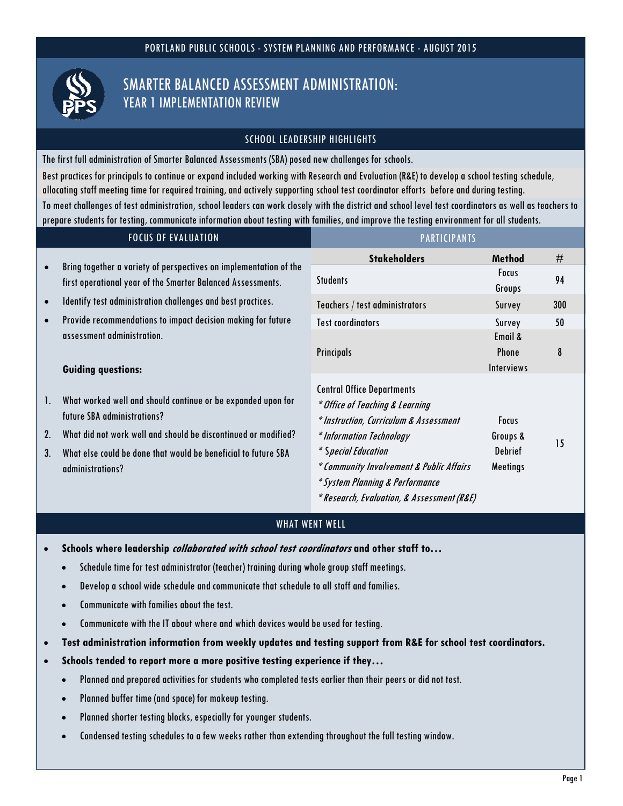

# SCHOOL LEADERSHIP HIGHLIGHTS

The first full administration of Smarter Balanced Assessments (SBA) posed new challenges for schools. Best practices for principals to continue or expand included working with Research and Evaluation (R&E) to develop a school testing schedule, allocating staff meeting time for required training, and actively supporting school test coordinator efforts before and during testing. To meet challenges of test administration, school leaders can work closely with the district and school level test coordinators as well as teachers to prepare students for testing, communicate information about testing with families, and improve the testing environment for all students.

| <b>FOCUS OF EVALUATION</b> |                                                                                                                                                                                                                                                     | <b>PARTICIPANTS</b>                                                                                                                                                                                                                                                                            |                                                 |     |
|----------------------------|-----------------------------------------------------------------------------------------------------------------------------------------------------------------------------------------------------------------------------------------------------|------------------------------------------------------------------------------------------------------------------------------------------------------------------------------------------------------------------------------------------------------------------------------------------------|-------------------------------------------------|-----|
|                            |                                                                                                                                                                                                                                                     | <b>Stakeholders</b>                                                                                                                                                                                                                                                                            | <b>Method</b>                                   | #   |
| $\bullet$                  | Bring together a variety of perspectives on implementation of the<br>first operational year of the Smarter Balanced Assessments.                                                                                                                    | <b>Students</b>                                                                                                                                                                                                                                                                                | Focus<br>Groups                                 | 94  |
| $\bullet$                  | Identify test administration challenges and best practices.                                                                                                                                                                                         | Teachers / test administrators                                                                                                                                                                                                                                                                 | Survey                                          | 300 |
| $\bullet$                  | Provide recommendations to impact decision making for future                                                                                                                                                                                        | <b>Test coordinators</b>                                                                                                                                                                                                                                                                       | Survey                                          | 50  |
|                            | assessment administration.<br><b>Guiding questions:</b>                                                                                                                                                                                             | <b>Principals</b>                                                                                                                                                                                                                                                                              | Email &<br><b>Phone</b><br><b>Interviews</b>    | 8   |
| 1.<br>2.<br>3.             | What worked well and should continue or be expanded upon for<br>future SBA administrations?<br>What did not work well and should be discontinued or modified?<br>What else could be done that would be beneficial to future SBA<br>administrations? | <b>Central Office Departments</b><br>* Office of Teaching & Learning<br>* Instruction, Curriculum & Assessment<br>* Information Technology<br>* Special Education<br>* Community Involvement & Public Affairs<br>* System Planning & Performance<br>* Research, Evaluation, & Assessment (R&E) | <b>Focus</b><br>Groups &<br>Debrief<br>Meetings | 15  |

# WHAT WENT WELL

- **Schools where leadership collaborated with school test coordinators and other staff to…** 
	- Schedule time for test administrator (teacher) training during whole group staff meetings.
	- Develop a school wide schedule and communicate that schedule to all staff and families.
	- Communicate with families about the test.
	- Communicate with the IT about where and which devices would be used for testing.
- **Test administration information from weekly updates and testing support from R&E for school test coordinators.**
- **Schools tended to report more a more positive testing experience if they…** 
	- Planned and prepared activities for students who completed tests earlier than their peers or did not test.
	- Planned buffer time (and space) for makeup testing.
	- Planned shorter testing blocks, especially for younger students.
	- Condensed testing schedules to a few weeks rather than extending throughout the full testing window.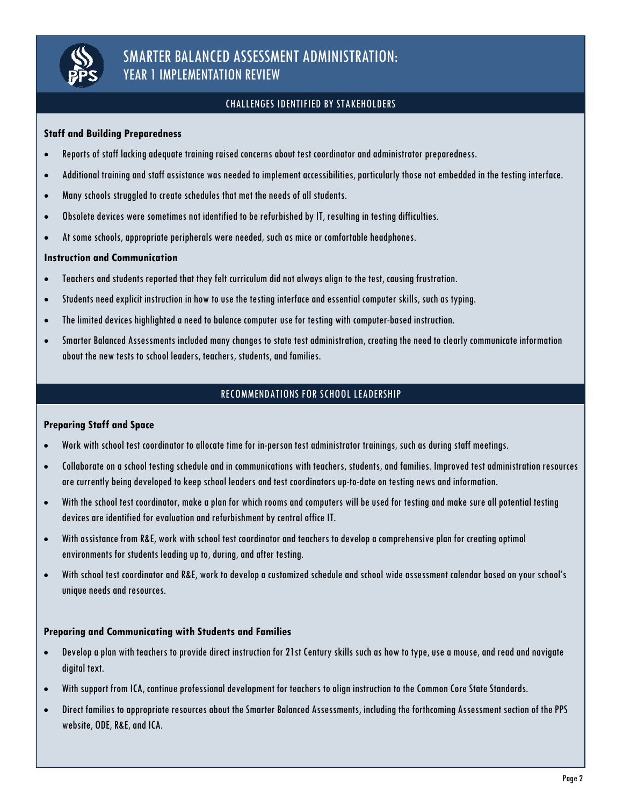

# CHALLENGES IDENTIFIED BY STAKEHOLDERS

### **Staff and Building Preparedness**

- Reports of staff lacking adequate training raised concerns about test coordinator and administrator preparedness.
- Additional training and staff assistance was needed to implement accessibilities, particularly those not embedded in the testing interface.
- Many schools struggled to create schedules that met the needs of all students.
- Obsolete devices were sometimes not identified to be refurbished by IT, resulting in testing difficulties.
- At some schools, appropriate peripherals were needed, such as mice or comfortable headphones.

#### **Instruction and Communication**

- Teachers and students reported that they felt curriculum did not always align to the test, causing frustration.
- Students need explicit instruction in how to use the testing interface and essential computer skills, such as typing.
- The limited devices highlighted a need to balance computer use for testing with computer-based instruction.
- Smarter Balanced Assessments included many changes to state test administration, creating the need to clearly communicate information about the new tests to school leaders, teachers, students, and families.

## RECOMMENDATIONS FOR SCHOOL LEADERSHIP

#### **Preparing Staff and Space**

- Work with school test coordinator to allocate time for in-person test administrator trainings, such as during staff meetings.
- Collaborate on a school testing schedule and in communications with teachers, students, and families. Improved test administration resources are currently being developed to keep school leaders and test coordinators up-to-date on testing news and information.
- With the school test coordinator, make a plan for which rooms and computers will be used for testing and make sure all potential testing devices are identified for evaluation and refurbishment by central office IT.
- With assistance from R&E, work with school test coordinator and teachers to develop a comprehensive plan for creating optimal environments for students leading up to, during, and after testing.
- With school test coordinator and R&E, work to develop a customized schedule and school wide assessment calendar based on your school's unique needs and resources.

#### **Preparing and Communicating with Students and Families**

- Develop a plan with teachers to provide direct instruction for 21st Century skills such as how to type, use a mouse, and read and navigate digital text.
- With support from ICA, continue professional development for teachers to align instruction to the Common Core State Standards.
- Direct families to appropriate resources about the Smarter Balanced Assessments, including the forthcoming Assessment section of the PPS website, ODE, R&E, and ICA.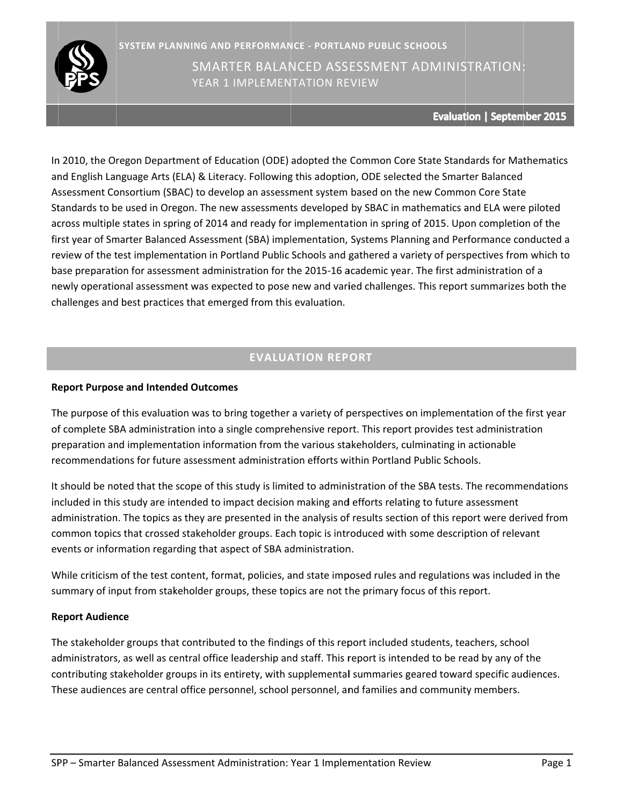

Evaluation | September 2015

In 2010, the Oregon Department of Education (ODE) adopted the Common Core State Standards for Mat and English Language Arts (ELA) & Literacy. Following this adoption, ODE selected the Smarter Balanced Assessment Consortium (SBAC) to develop an assessment system based on the new Common Core State Assessment Consortium (SBAC) to develop an assessment system based on the new Common Core State<br>Standards to be used in Oregon. The new assessments developed by SBAC in mathematics and ELA were piloted across multiple states in spring of 2014 and ready for implementation in spring of 2015. Upon completion of the first year of Smarter Balanced Assessment (SBA) implementation, Systems Planning and Performance conducted a review of the test implementation in Portland Public Schools and gathered a variety of perspectives from which to base preparation for assessment administration for the 2015-16 academic year. The first administration of a newly operational assessment was expected to pose new and varied challenges. This report summarizes both the challenges and best practices that emerged from this evaluation.

# **EVALUA ATION REP ORT**

## **Report Purpose and Intended Outcomes**

The purpose of this evaluation was to bring together a variety of perspectives on implementation of the first year of complete SBA administration into a single comprehensive report. This report provides test administration preparation and implementation information from the various stakeholders, culminating in actionable recommendations for future assessment administration efforts within Portland Public Schools.

It should be noted that the scope of this study is limited to administration of the SBA tests. The recommendations included in this study are intended to impact decision making and efforts relating to future assessment administration. The topics as they are presented in the analysis of results section of this report were derived from common topics that crossed stakeholder groups. Each topic is introduced with some description of relevant events or information regarding that aspect of SBA administration.

While criticism of the test content, format, policies, and state imposed rules and regulations was included in the summary of input from stakeholder groups, these topics are not the primary focus of this report.

### **Report Audience**

The stakeholder groups that contributed to the findings of this report included students, teachers, school administrators, as well as central office leadership and staff. This report is intended to be read by any of the contributing stakeholder groups in its entirety, with supplemental summaries geared toward specific audiences. These audiences are central office personnel, school personnel, and families and community members.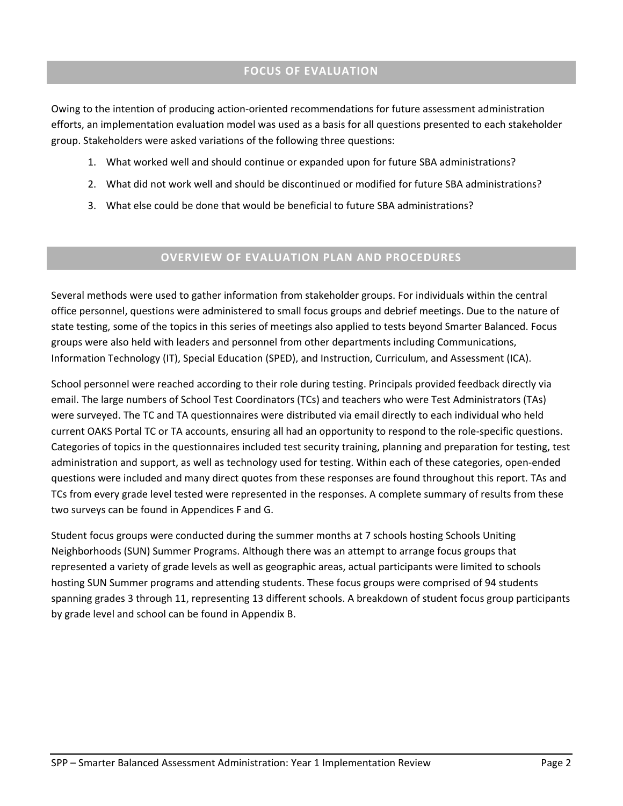# **FOCUS OF EVALUATION**

Owing to the intention of producing action‐oriented recommendations for future assessment administration efforts, an implementation evaluation model was used as a basis for all questions presented to each stakeholder group. Stakeholders were asked variations of the following three questions:

- 1. What worked well and should continue or expanded upon for future SBA administrations?
- 2. What did not work well and should be discontinued or modified for future SBA administrations?
- 3. What else could be done that would be beneficial to future SBA administrations?

# **OVERVIEW OF EVALUATION PLAN AND PROCEDURES**

Several methods were used to gather information from stakeholder groups. For individuals within the central office personnel, questions were administered to small focus groups and debrief meetings. Due to the nature of state testing, some of the topics in this series of meetings also applied to tests beyond Smarter Balanced. Focus groups were also held with leaders and personnel from other departments including Communications, Information Technology (IT), Special Education (SPED), and Instruction, Curriculum, and Assessment (ICA).

School personnel were reached according to their role during testing. Principals provided feedback directly via email. The large numbers of School Test Coordinators (TCs) and teachers who were Test Administrators (TAs) were surveyed. The TC and TA questionnaires were distributed via email directly to each individual who held current OAKS Portal TC or TA accounts, ensuring all had an opportunity to respond to the role‐specific questions. Categories of topics in the questionnaires included test security training, planning and preparation for testing, test administration and support, as well as technology used for testing. Within each of these categories, open‐ended questions were included and many direct quotes from these responses are found throughout this report. TAs and TCs from every grade level tested were represented in the responses. A complete summary of results from these two surveys can be found in Appendices F and G.

Student focus groups were conducted during the summer months at 7 schools hosting Schools Uniting Neighborhoods (SUN) Summer Programs. Although there was an attempt to arrange focus groups that represented a variety of grade levels as well as geographic areas, actual participants were limited to schools hosting SUN Summer programs and attending students. These focus groups were comprised of 94 students spanning grades 3 through 11, representing 13 different schools. A breakdown of student focus group participants by grade level and school can be found in Appendix B.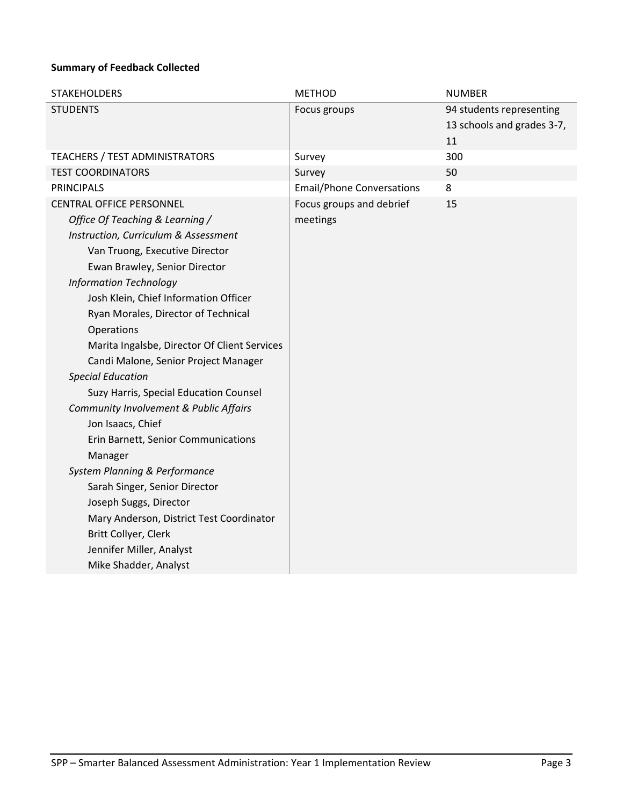# **Summary of Feedback Collected**

| <b>STAKEHOLDERS</b>                                                                                                                                                                                                                                                                                       | <b>METHOD</b>                                                | <b>NUMBER</b>                                                |
|-----------------------------------------------------------------------------------------------------------------------------------------------------------------------------------------------------------------------------------------------------------------------------------------------------------|--------------------------------------------------------------|--------------------------------------------------------------|
| <b>STUDENTS</b>                                                                                                                                                                                                                                                                                           | Focus groups                                                 | 94 students representing<br>13 schools and grades 3-7,<br>11 |
| <b>TEACHERS / TEST ADMINISTRATORS</b>                                                                                                                                                                                                                                                                     | Survey                                                       | 300                                                          |
| <b>TEST COORDINATORS</b>                                                                                                                                                                                                                                                                                  | Survey                                                       | 50                                                           |
| <b>PRINCIPALS</b>                                                                                                                                                                                                                                                                                         | <b>Email/Phone Conversations</b><br>Focus groups and debrief | 8                                                            |
| Office Of Teaching & Learning /<br>Instruction, Curriculum & Assessment<br>Van Truong, Executive Director<br>Ewan Brawley, Senior Director<br><b>Information Technology</b><br>Josh Klein, Chief Information Officer<br>Ryan Morales, Director of Technical<br>Operations                                 | meetings                                                     |                                                              |
| Marita Ingalsbe, Director Of Client Services<br>Candi Malone, Senior Project Manager<br><b>Special Education</b>                                                                                                                                                                                          |                                                              |                                                              |
| Suzy Harris, Special Education Counsel                                                                                                                                                                                                                                                                    |                                                              |                                                              |
| Community Involvement & Public Affairs<br>Jon Isaacs, Chief<br>Erin Barnett, Senior Communications<br>Manager<br>System Planning & Performance<br>Sarah Singer, Senior Director<br>Joseph Suggs, Director<br>Mary Anderson, District Test Coordinator<br>Britt Collyer, Clerk<br>Jennifer Miller, Analyst |                                                              |                                                              |
| Mike Shadder, Analyst                                                                                                                                                                                                                                                                                     |                                                              |                                                              |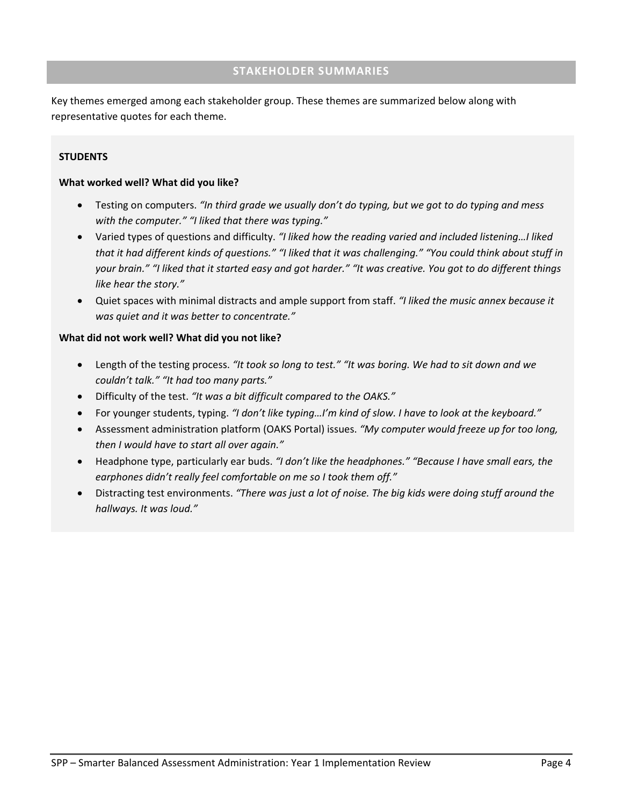## **STAKEHOLDER SUMMARIES**

Key themes emerged among each stakeholder group. These themes are summarized below along with representative quotes for each theme.

### **STUDENTS**

#### **What worked well? What did you like?**

- Testing on computers. *"In third grade we usually don't do typing, but we got to do typing and mess with the computer." "I liked that there was typing."*
- Varied types of questions and difficulty. *"I liked how the reading varied and included listening…I liked* that it had different kinds of questions." "I liked that it was challenging." "You could think about stuff in your brain." "I liked that it started easy and got harder." "It was creative. You got to do different things *like hear the story."*
- Quiet spaces with minimal distracts and ample support from staff. *"I liked the music annex because it was quiet and it was better to concentrate."*

#### **What did not work well? What did you not like?**

- Length of the testing process. *"It took so long to test." "It was boring. We had to sit down and we couldn't talk." "It had too many parts."*
- Difficulty of the test. *"It was a bit difficult compared to the OAKS."*
- For younger students, typing. *"I don't like typing…I'm kind of slow. I have to look at the keyboard."*
- Assessment administration platform (OAKS Portal) issues. *"My computer would freeze up for too long, then I would have to start all over again."*
- Headphone type, particularly ear buds. *"I don't like the headphones." "Because I have small ears, the earphones didn't really feel comfortable on me so I took them off."*
- Distracting test environments. *"There was just a lot of noise. The big kids were doing stuff around the hallways. It was loud."*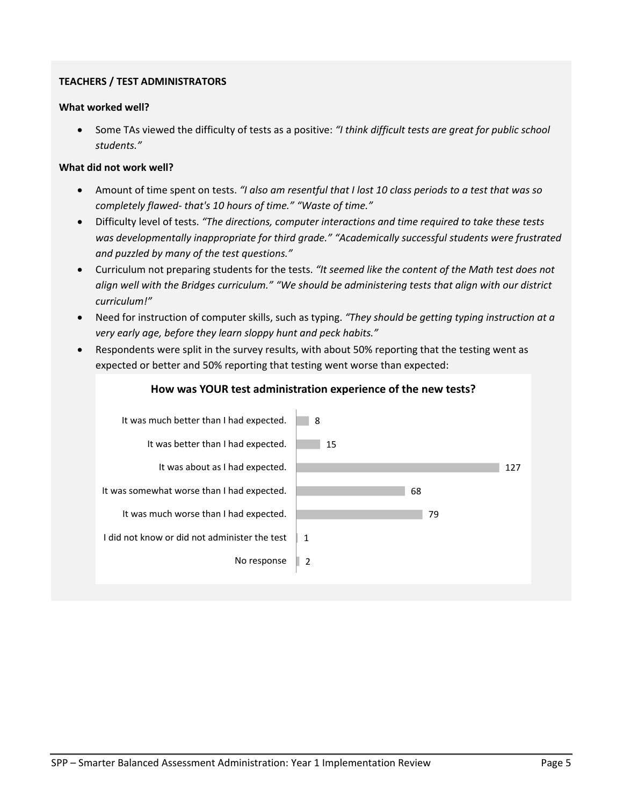# **TEACHERS / TEST ADMINISTRATORS**

#### **What worked well?**

 Some TAs viewed the difficulty of tests as a positive: *"I think difficult tests are great for public school students."*

### **What did not work well?**

- Amount of time spent on tests. *"I also am resentful that I lost 10 class periods to a test that was so completely flawed‐ that's 10 hours of time." "Waste of time."*
- Difficulty level of tests. *"The directions, computer interactions and time required to take these tests was developmentally inappropriate for third grade." "Academically successful students were frustrated and puzzled by many of the test questions."*
- Curriculum not preparing students for the tests. *"It seemed like the content of the Math test does not align well with the Bridges curriculum." "We should be administering tests that align with our district curriculum!"*
- Need for instruction of computer skills, such as typing. *"They should be getting typing instruction at a very early age, before they learn sloppy hunt and peck habits."*
- Respondents were split in the survey results, with about 50% reporting that the testing went as expected or better and 50% reporting that testing went worse than expected:



# SPP – Smarter Balanced Assessment Administration: Year 1 Implementation Review Page 5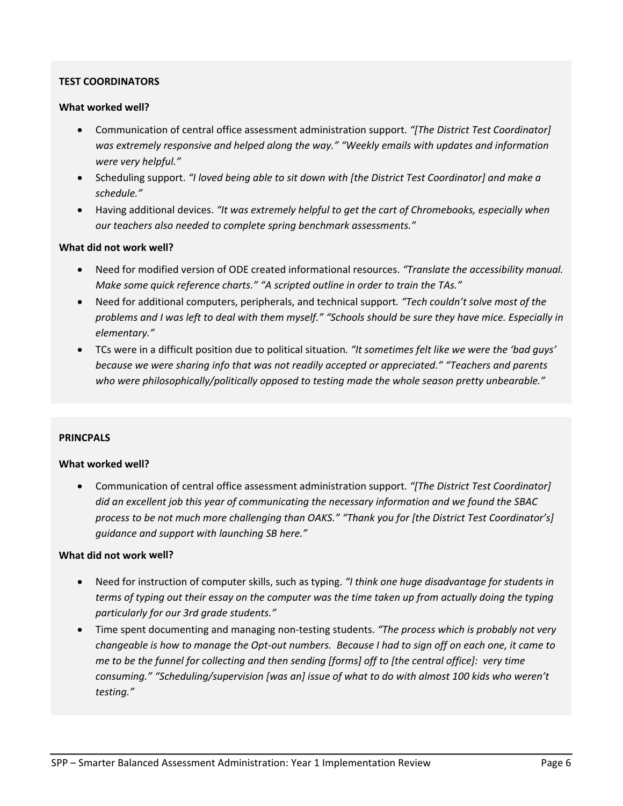### **TEST COORDINATORS**

#### **What worked well?**

- Communication of central office assessment administration support. *"[The District Test Coordinator] was extremely responsive and helped along the way." "Weekly emails with updates and information were very helpful."*
- Scheduling support. *"I loved being able to sit down with [the District Test Coordinator] and make a schedule."*
- Having additional devices. *"It was extremely helpful to get the cart of Chromebooks, especially when our teachers also needed to complete spring benchmark assessments."*

#### **What did not work well?**

- Need for modified version of ODE created informational resources. *"Translate the accessibility manual. Make some quick reference charts." "A scripted outline in order to train the TAs."*
- Need for additional computers, peripherals, and technical support*. "Tech couldn't solve most of the* problems and I was left to deal with them myself." "Schools should be sure they have mice. Especially in *elementary."*
- TCs were in a difficult position due to political situation*. "It sometimes felt like we were the 'bad guys' because we were sharing info that was not readily accepted or appreciated." "Teachers and parents who were philosophically/politically opposed to testing made the whole season pretty unbearable."*

#### **PRINCPALS**

#### **What worked well?**

 Communication of central office assessment administration support. *"[The District Test Coordinator] did an excellent job this year of communicating the necessary information and we found the SBAC process to be not much more challenging than OAKS." "Thank you for [the District Test Coordinator's] guidance and support with launching SB here."*

#### **What did not work well?**

- Need for instruction of computer skills, such as typing. *"I think one huge disadvantage for students in* terms of typing out their essay on the computer was the time taken up from actually doing the typing *particularly for our 3rd grade students."*
- Time spent documenting and managing non‐testing students. *"The process which is probably not very* changeable is how to manage the Opt-out numbers. Because I had to sign off on each one, it came to me to be the funnel for collecting and then sending [forms] off to [the central office]: very time *consuming." "Scheduling/supervision [was an] issue of what to do with almost 100 kids who weren't testing."*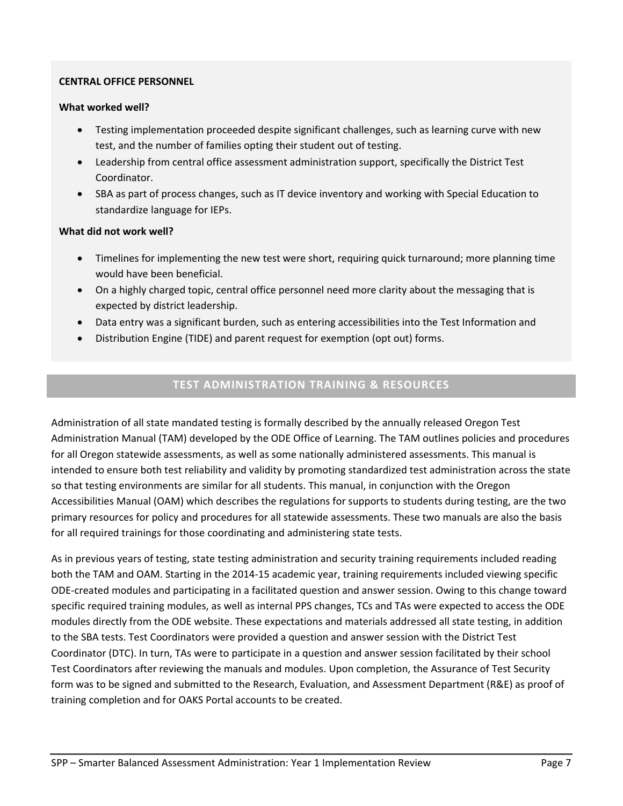#### **CENTRAL OFFICE PERSONNEL**

### **What worked well?**

- Testing implementation proceeded despite significant challenges, such as learning curve with new test, and the number of families opting their student out of testing.
- Leadership from central office assessment administration support, specifically the District Test Coordinator.
- SBA as part of process changes, such as IT device inventory and working with Special Education to standardize language for IEPs.

# **What did not work well?**

- Timelines for implementing the new test were short, requiring quick turnaround; more planning time would have been beneficial.
- On a highly charged topic, central office personnel need more clarity about the messaging that is expected by district leadership.
- Data entry was a significant burden, such as entering accessibilities into the Test Information and
- Distribution Engine (TIDE) and parent request for exemption (opt out) forms.

# **TEST ADMINISTRATION TRAINING & RESOURCES**

Administration of all state mandated testing is formally described by the annually released Oregon Test Administration Manual (TAM) developed by the ODE Office of Learning. The TAM outlines policies and procedures for all Oregon statewide assessments, as well as some nationally administered assessments. This manual is intended to ensure both test reliability and validity by promoting standardized test administration across the state so that testing environments are similar for all students. This manual, in conjunction with the Oregon Accessibilities Manual (OAM) which describes the regulations for supports to students during testing, are the two primary resources for policy and procedures for all statewide assessments. These two manuals are also the basis for all required trainings for those coordinating and administering state tests.

As in previous years of testing, state testing administration and security training requirements included reading both the TAM and OAM. Starting in the 2014‐15 academic year, training requirements included viewing specific ODE‐created modules and participating in a facilitated question and answer session. Owing to this change toward specific required training modules, as well as internal PPS changes, TCs and TAs were expected to access the ODE modules directly from the ODE website. These expectations and materials addressed all state testing, in addition to the SBA tests. Test Coordinators were provided a question and answer session with the District Test Coordinator (DTC). In turn, TAs were to participate in a question and answer session facilitated by their school Test Coordinators after reviewing the manuals and modules. Upon completion, the Assurance of Test Security form was to be signed and submitted to the Research, Evaluation, and Assessment Department (R&E) as proof of training completion and for OAKS Portal accounts to be created.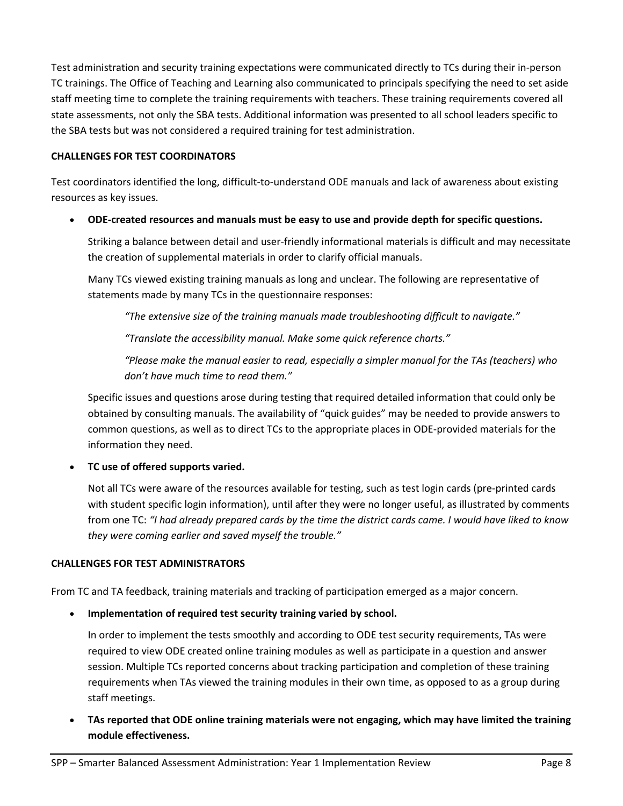Test administration and security training expectations were communicated directly to TCs during their in‐person TC trainings. The Office of Teaching and Learning also communicated to principals specifying the need to set aside staff meeting time to complete the training requirements with teachers. These training requirements covered all state assessments, not only the SBA tests. Additional information was presented to all school leaders specific to the SBA tests but was not considered a required training for test administration.

## **CHALLENGES FOR TEST COORDINATORS**

Test coordinators identified the long, difficult‐to‐understand ODE manuals and lack of awareness about existing resources as key issues.

**ODE‐created resources and manuals must be easy to use and provide depth for specific questions.** 

Striking a balance between detail and user‐friendly informational materials is difficult and may necessitate the creation of supplemental materials in order to clarify official manuals.

Many TCs viewed existing training manuals as long and unclear. The following are representative of statements made by many TCs in the questionnaire responses:

*"The extensive size of the training manuals made troubleshooting difficult to navigate."*

*"Translate the accessibility manual. Make some quick reference charts."*

*"Please make the manual easier to read, especially a simpler manual for the TAs (teachers) who don't have much time to read them."*

Specific issues and questions arose during testing that required detailed information that could only be obtained by consulting manuals. The availability of "quick guides" may be needed to provide answers to common questions, as well as to direct TCs to the appropriate places in ODE‐provided materials for the information they need.

**TC use of offered supports varied.**

Not all TCs were aware of the resources available for testing, such as test login cards (pre‐printed cards with student specific login information), until after they were no longer useful, as illustrated by comments from one TC: "I had already prepared cards by the time the district cards came. I would have liked to know *they were coming earlier and saved myself the trouble."*

#### **CHALLENGES FOR TEST ADMINISTRATORS**

From TC and TA feedback, training materials and tracking of participation emerged as a major concern.

**Implementation of required test security training varied by school.**

In order to implement the tests smoothly and according to ODE test security requirements, TAs were required to view ODE created online training modules as well as participate in a question and answer session. Multiple TCs reported concerns about tracking participation and completion of these training requirements when TAs viewed the training modules in their own time, as opposed to as a group during staff meetings.

 **TAs reported that ODE online training materials were not engaging, which may have limited the training module effectiveness.**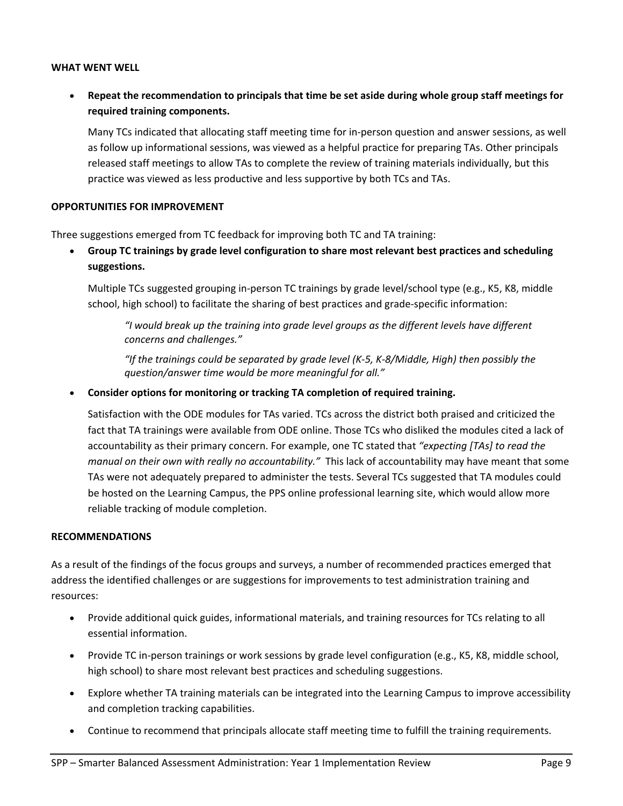#### **WHAT WENT WELL**

 **Repeat the recommendation to principals that time be set aside during whole group staff meetings for required training components.**

Many TCs indicated that allocating staff meeting time for in‐person question and answer sessions, as well as follow up informational sessions, was viewed as a helpful practice for preparing TAs. Other principals released staff meetings to allow TAs to complete the review of training materials individually, but this practice was viewed as less productive and less supportive by both TCs and TAs.

#### **OPPORTUNITIES FOR IMPROVEMENT**

Three suggestions emerged from TC feedback for improving both TC and TA training:

 **Group TC trainings by grade level configuration to share most relevant best practices and scheduling suggestions.**

Multiple TCs suggested grouping in‐person TC trainings by grade level/school type (e.g., K5, K8, middle school, high school) to facilitate the sharing of best practices and grade‐specific information:

*"I would break up the training into grade level groups as the different levels have different concerns and challenges."*

"If the trainings could be separated by grade level (K-5, K-8/Middle, High) then possibly the *question/answer time would be more meaningful for all."*

**Consider options for monitoring or tracking TA completion of required training.**

Satisfaction with the ODE modules for TAs varied. TCs across the district both praised and criticized the fact that TA trainings were available from ODE online. Those TCs who disliked the modules cited a lack of accountability as their primary concern. For example, one TC stated that *"expecting [TAs] to read the manual on their own with really no accountability."* This lack of accountability may have meant that some TAs were not adequately prepared to administer the tests. Several TCs suggested that TA modules could be hosted on the Learning Campus, the PPS online professional learning site, which would allow more reliable tracking of module completion.

#### **RECOMMENDATIONS**

As a result of the findings of the focus groups and surveys, a number of recommended practices emerged that address the identified challenges or are suggestions for improvements to test administration training and resources:

- Provide additional quick guides, informational materials, and training resources for TCs relating to all essential information.
- Provide TC in-person trainings or work sessions by grade level configuration (e.g., K5, K8, middle school, high school) to share most relevant best practices and scheduling suggestions.
- Explore whether TA training materials can be integrated into the Learning Campus to improve accessibility and completion tracking capabilities.
- Continue to recommend that principals allocate staff meeting time to fulfill the training requirements.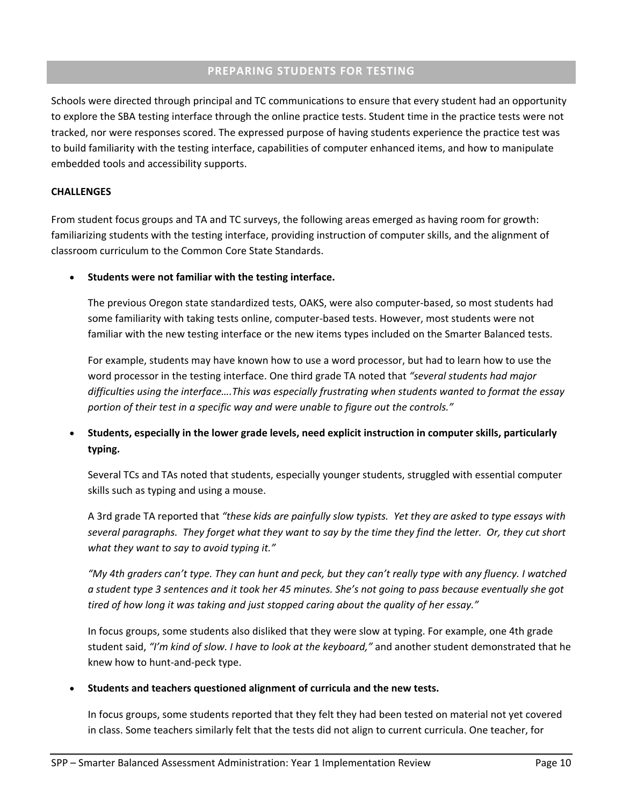## **PREPARING STUDENTS FOR TESTING**

Schools were directed through principal and TC communications to ensure that every student had an opportunity to explore the SBA testing interface through the online practice tests. Student time in the practice tests were not tracked, nor were responses scored. The expressed purpose of having students experience the practice test was to build familiarity with the testing interface, capabilities of computer enhanced items, and how to manipulate embedded tools and accessibility supports.

#### **CHALLENGES**

From student focus groups and TA and TC surveys, the following areas emerged as having room for growth: familiarizing students with the testing interface, providing instruction of computer skills, and the alignment of classroom curriculum to the Common Core State Standards.

**Students were not familiar with the testing interface.**

The previous Oregon state standardized tests, OAKS, were also computer‐based, so most students had some familiarity with taking tests online, computer-based tests. However, most students were not familiar with the new testing interface or the new items types included on the Smarter Balanced tests.

For example, students may have known how to use a word processor, but had to learn how to use the word processor in the testing interface. One third grade TA noted that *"several students had major difficulties using the interface….This was especially frustrating when students wanted to format the essay portion of their test in a specific way and were unable to figure out the controls."*

 **Students, especially in the lower grade levels, need explicit instruction in computer skills, particularly typing.**

Several TCs and TAs noted that students, especially younger students, struggled with essential computer skills such as typing and using a mouse.

A 3rd grade TA reported that *"these kids are painfully slow typists. Yet they are asked to type essays with* several paragraphs. They forget what they want to say by the time they find the letter. Or, they cut short *what they want to say to avoid typing it."*

"My 4th graders can't type. They can hunt and peck, but they can't really type with any fluency. I watched a student type 3 sentences and it took her 45 minutes. She's not going to pass because eventually she got *tired of how long it was taking and just stopped caring about the quality of her essay."*

In focus groups, some students also disliked that they were slow at typing. For example, one 4th grade student said, *"I'm kind of slow. I have to look at the keyboard,"* and another student demonstrated that he knew how to hunt‐and‐peck type.

#### **Students and teachers questioned alignment of curricula and the new tests.**

In focus groups, some students reported that they felt they had been tested on material not yet covered in class. Some teachers similarly felt that the tests did not align to current curricula. One teacher, for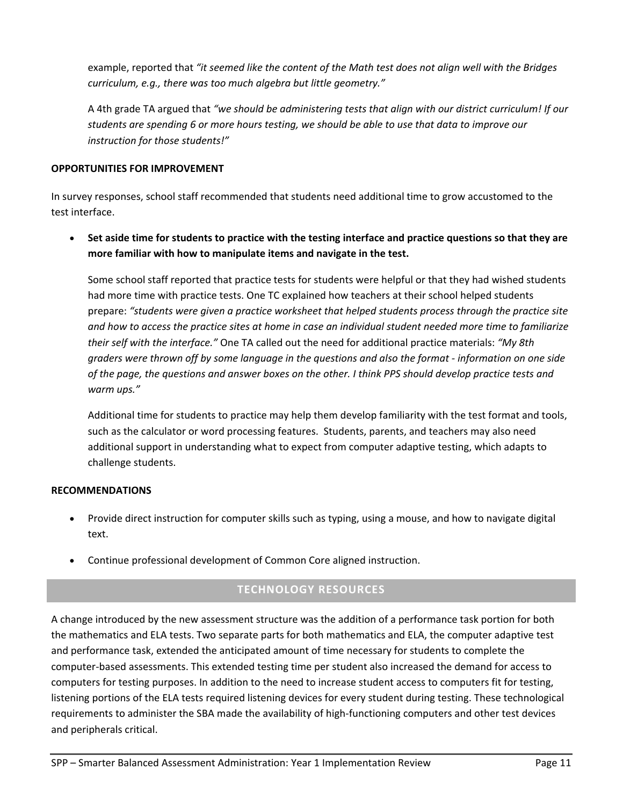example, reported that *"it seemed like the content of the Math test does not align well with the Bridges curriculum, e.g., there was too much algebra but little geometry."*

A 4th grade TA argued that *"we should be administering tests that align with our district curriculum! If our* students are spending 6 or more hours testing, we should be able to use that data to improve our *instruction for those students!"*

## **OPPORTUNITIES FOR IMPROVEMENT**

In survey responses, school staff recommended that students need additional time to grow accustomed to the test interface.

• Set aside time for students to practice with the testing interface and practice questions so that they are **more familiar with how to manipulate items and navigate in the test.**

Some school staff reported that practice tests for students were helpful or that they had wished students had more time with practice tests. One TC explained how teachers at their school helped students prepare: *"students were given a practice worksheet that helped students process through the practice site* and how to access the practice sites at home in case an individual student needed more time to familiarize *their self with the interface."* One TA called out the need for additional practice materials: *"My 8th* graders were thrown off by some language in the questions and also the format - information on one side of the page, the questions and answer boxes on the other. I think PPS should develop practice tests and *warm ups."*

Additional time for students to practice may help them develop familiarity with the test format and tools, such as the calculator or word processing features. Students, parents, and teachers may also need additional support in understanding what to expect from computer adaptive testing, which adapts to challenge students.

#### **RECOMMENDATIONS**

- Provide direct instruction for computer skills such as typing, using a mouse, and how to navigate digital text.
- Continue professional development of Common Core aligned instruction.

# **TECHNOLOGY RESOURCES**

A change introduced by the new assessment structure was the addition of a performance task portion for both the mathematics and ELA tests. Two separate parts for both mathematics and ELA, the computer adaptive test and performance task, extended the anticipated amount of time necessary for students to complete the computer‐based assessments. This extended testing time per student also increased the demand for access to computers for testing purposes. In addition to the need to increase student access to computers fit for testing, listening portions of the ELA tests required listening devices for every student during testing. These technological requirements to administer the SBA made the availability of high‐functioning computers and other test devices and peripherals critical.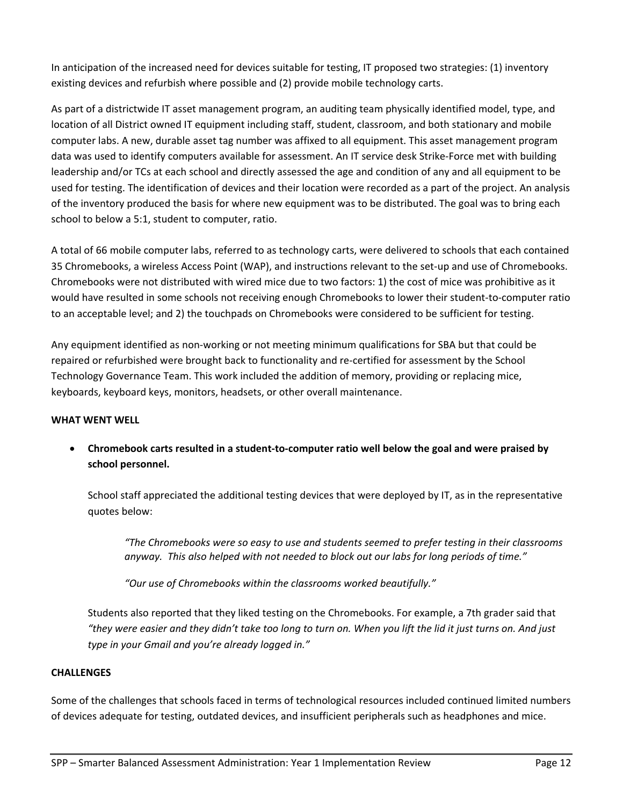In anticipation of the increased need for devices suitable for testing, IT proposed two strategies: (1) inventory existing devices and refurbish where possible and (2) provide mobile technology carts.

As part of a districtwide IT asset management program, an auditing team physically identified model, type, and location of all District owned IT equipment including staff, student, classroom, and both stationary and mobile computer labs. A new, durable asset tag number was affixed to all equipment. This asset management program data was used to identify computers available for assessment. An IT service desk Strike‐Force met with building leadership and/or TCs at each school and directly assessed the age and condition of any and all equipment to be used for testing. The identification of devices and their location were recorded as a part of the project. An analysis of the inventory produced the basis for where new equipment was to be distributed. The goal was to bring each school to below a 5:1, student to computer, ratio.

A total of 66 mobile computer labs, referred to as technology carts, were delivered to schools that each contained 35 Chromebooks, a wireless Access Point (WAP), and instructions relevant to the set-up and use of Chromebooks. Chromebooks were not distributed with wired mice due to two factors: 1) the cost of mice was prohibitive as it would have resulted in some schools not receiving enough Chromebooks to lower their student-to-computer ratio to an acceptable level; and 2) the touchpads on Chromebooks were considered to be sufficient for testing.

Any equipment identified as non-working or not meeting minimum qualifications for SBA but that could be repaired or refurbished were brought back to functionality and re‐certified for assessment by the School Technology Governance Team. This work included the addition of memory, providing or replacing mice, keyboards, keyboard keys, monitors, headsets, or other overall maintenance.

# **WHAT WENT WELL**

Chromebook carts resulted in a student-to-computer ratio well below the goal and were praised by **school personnel.**

School staff appreciated the additional testing devices that were deployed by IT, as in the representative quotes below:

*"The Chromebooks were so easy to use and students seemed to prefer testing in their classrooms anyway. This also helped with not needed to block out our labs for long periods of time."*

*"Our use of Chromebooks within the classrooms worked beautifully."*

Students also reported that they liked testing on the Chromebooks. For example, a 7th grader said that "they were easier and they didn't take too long to turn on. When you lift the lid it just turns on. And just *type in your Gmail and you're already logged in."*

#### **CHALLENGES**

Some of the challenges that schools faced in terms of technological resources included continued limited numbers of devices adequate for testing, outdated devices, and insufficient peripherals such as headphones and mice.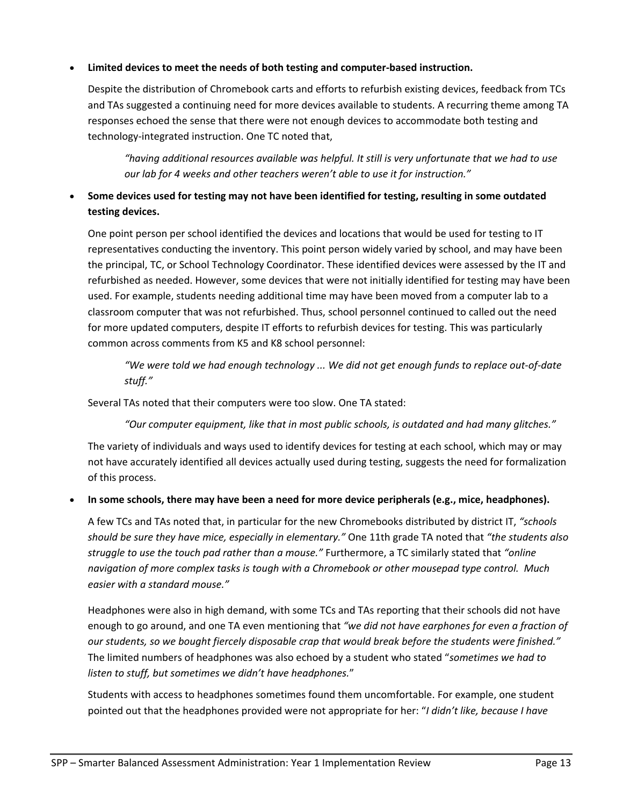# **Limited devices to meet the needs of both testing and computer‐based instruction.**

Despite the distribution of Chromebook carts and efforts to refurbish existing devices, feedback from TCs and TAs suggested a continuing need for more devices available to students. A recurring theme among TA responses echoed the sense that there were not enough devices to accommodate both testing and technology‐integrated instruction. One TC noted that,

*"having additional resources available was helpful. It still is very unfortunate that we had to use our lab for 4 weeks and other teachers weren't able to use it for instruction."*

# **Some devices used for testing may not have been identified for testing, resulting in some outdated testing devices.**

One point person per school identified the devices and locations that would be used for testing to IT representatives conducting the inventory. This point person widely varied by school, and may have been the principal, TC, or School Technology Coordinator. These identified devices were assessed by the IT and refurbished as needed. However, some devices that were not initially identified for testing may have been used. For example, students needing additional time may have been moved from a computer lab to a classroom computer that was not refurbished. Thus, school personnel continued to called out the need for more updated computers, despite IT efforts to refurbish devices for testing. This was particularly common across comments from K5 and K8 school personnel:

"We were told we had enough technology ... We did not get enough funds to replace out-of-date *stuff."*

Several TAs noted that their computers were too slow. One TA stated:

*"Our computer equipment, like that in most public schools, is outdated and had many glitches."*

The variety of individuals and ways used to identify devices for testing at each school, which may or may not have accurately identified all devices actually used during testing, suggests the need for formalization of this process.

#### **In some schools, there may have been a need for more device peripherals (e.g., mice, headphones).**

A few TCs and TAs noted that, in particular for the new Chromebooks distributed by district IT, *"schools should be sure they have mice, especially in elementary."* One 11th grade TA noted that *"the students also struggle to use the touch pad rather than a mouse."* Furthermore, a TC similarly stated that *"online navigation of more complex tasks is tough with a Chromebook or other mousepad type control. Much easier with a standard mouse."*

Headphones were also in high demand, with some TCs and TAs reporting that their schools did not have enough to go around, and one TA even mentioning that *"we did not have earphones for even a fraction of our students, so we bought fiercely disposable crap that would break before the students were finished."* The limited numbers of headphones was also echoed by a student who stated "*sometimes we had to listen to stuff, but sometimes we didn't have headphones.*"

Students with access to headphones sometimes found them uncomfortable. For example, one student pointed out that the headphones provided were not appropriate for her: "*I didn't like, because I have*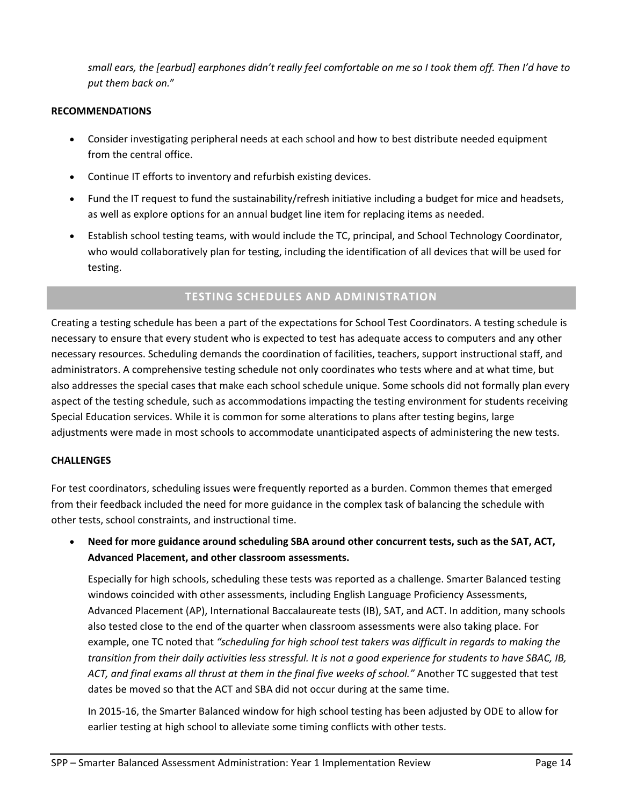small ears, the [earbud] earphones didn't really feel comfortable on me so I took them off. Then I'd have to *put them back on.*"

### **RECOMMENDATIONS**

- Consider investigating peripheral needs at each school and how to best distribute needed equipment from the central office.
- Continue IT efforts to inventory and refurbish existing devices.
- Fund the IT request to fund the sustainability/refresh initiative including a budget for mice and headsets, as well as explore options for an annual budget line item for replacing items as needed.
- Establish school testing teams, with would include the TC, principal, and School Technology Coordinator, who would collaboratively plan for testing, including the identification of all devices that will be used for testing.

# **TESTING SCHEDULES AND ADMINISTRATION**

Creating a testing schedule has been a part of the expectations for School Test Coordinators. A testing schedule is necessary to ensure that every student who is expected to test has adequate access to computers and any other necessary resources. Scheduling demands the coordination of facilities, teachers, support instructional staff, and administrators. A comprehensive testing schedule not only coordinates who tests where and at what time, but also addresses the special cases that make each school schedule unique. Some schools did not formally plan every aspect of the testing schedule, such as accommodations impacting the testing environment for students receiving Special Education services. While it is common for some alterations to plans after testing begins, large adjustments were made in most schools to accommodate unanticipated aspects of administering the new tests.

#### **CHALLENGES**

For test coordinators, scheduling issues were frequently reported as a burden. Common themes that emerged from their feedback included the need for more guidance in the complex task of balancing the schedule with other tests, school constraints, and instructional time.

 **Need for more guidance around scheduling SBA around other concurrent tests, such as the SAT, ACT, Advanced Placement, and other classroom assessments.**

Especially for high schools, scheduling these tests was reported as a challenge. Smarter Balanced testing windows coincided with other assessments, including English Language Proficiency Assessments, Advanced Placement (AP), International Baccalaureate tests (IB), SAT, and ACT. In addition, many schools also tested close to the end of the quarter when classroom assessments were also taking place. For example, one TC noted that *"scheduling for high school test takers was difficult in regards to making the* transition from their daily activities less stressful. It is not a good experience for students to have SBAC, IB, *ACT, and final exams all thrust at them in the final five weeks of school."* Another TC suggested that test dates be moved so that the ACT and SBA did not occur during at the same time.

In 2015‐16, the Smarter Balanced window for high school testing has been adjusted by ODE to allow for earlier testing at high school to alleviate some timing conflicts with other tests.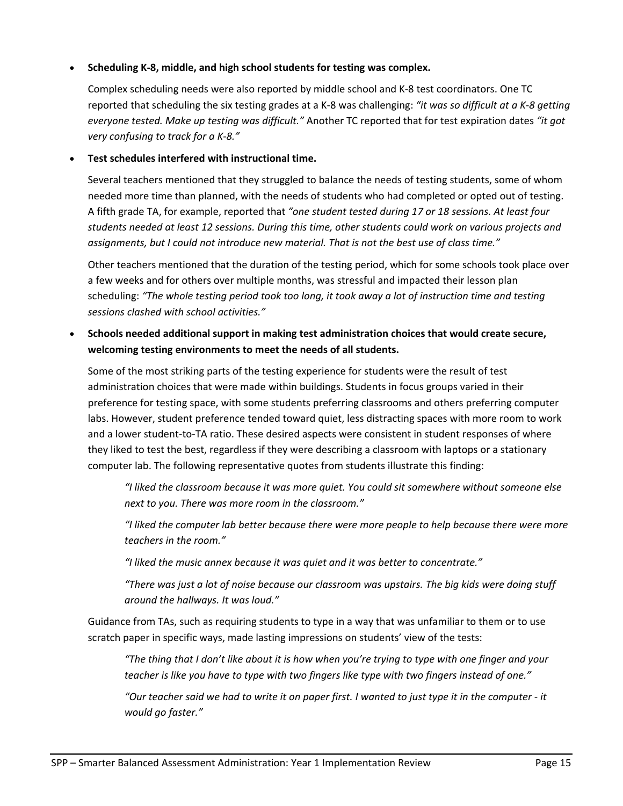## **Scheduling K‐8, middle, and high school students for testing was complex.**

Complex scheduling needs were also reported by middle school and K‐8 test coordinators. One TC reported that scheduling the six testing grades at a K‐8 was challenging: *"it was so difficult at a K‐8 getting everyone tested. Make up testing was difficult."* Another TC reported that for test expiration dates *"it got very confusing to track for a K‐8."*

### **Test schedules interfered with instructional time.**

Several teachers mentioned that they struggled to balance the needs of testing students, some of whom needed more time than planned, with the needs of students who had completed or opted out of testing. A fifth grade TA, for example, reported that *"one student tested during 17 or 18 sessions. At least four students needed at least 12 sessions. During this time, other students could work on various projects and assignments, but I could not introduce new material. That is not the best use of class time."*

Other teachers mentioned that the duration of the testing period, which for some schools took place over a few weeks and for others over multiple months, was stressful and impacted their lesson plan scheduling: *"The whole testing period took too long, it took away a lot of instruction time and testing sessions clashed with school activities."*

 **Schools needed additional support in making test administration choices that would create secure, welcoming testing environments to meet the needs of all students.**

Some of the most striking parts of the testing experience for students were the result of test administration choices that were made within buildings. Students in focus groups varied in their preference for testing space, with some students preferring classrooms and others preferring computer labs. However, student preference tended toward quiet, less distracting spaces with more room to work and a lower student-to-TA ratio. These desired aspects were consistent in student responses of where they liked to test the best, regardless if they were describing a classroom with laptops or a stationary computer lab. The following representative quotes from students illustrate this finding:

*"I liked the classroom because it was more quiet. You could sit somewhere without someone else next to you. There was more room in the classroom."*

*"I liked the computer lab better because there were more people to help because there were more teachers in the room."*

*"I liked the music annex because it was quiet and it was better to concentrate."*

*"There was just a lot of noise because our classroom was upstairs. The big kids were doing stuff around the hallways. It was loud."*

Guidance from TAs, such as requiring students to type in a way that was unfamiliar to them or to use scratch paper in specific ways, made lasting impressions on students' view of the tests:

"The thing that I don't like about it is how when you're trying to type with one finger and your *teacher is like you have to type with two fingers like type with two fingers instead of one."*

"Our teacher said we had to write it on paper first. I wanted to just type it in the computer - it *would go faster."*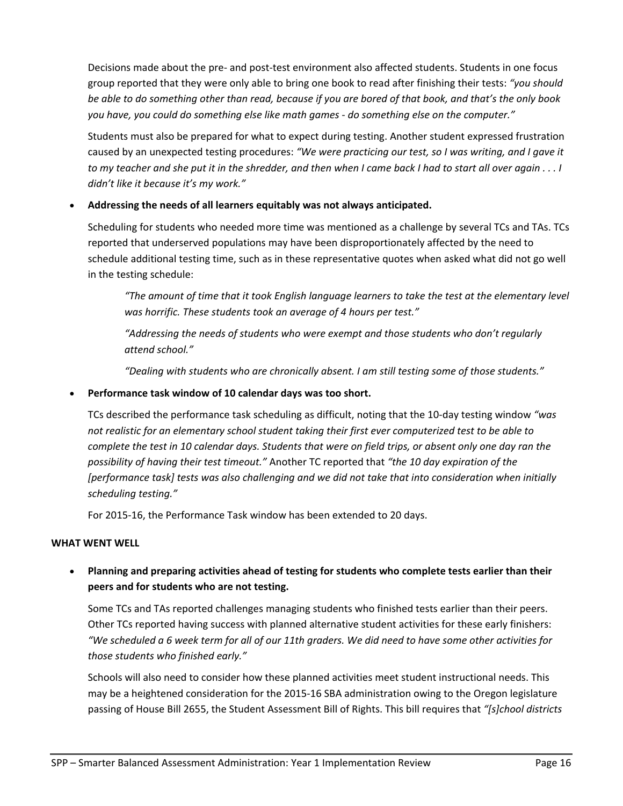Decisions made about the pre‐ and post‐test environment also affected students. Students in one focus group reported that they were only able to bring one book to read after finishing their tests: *"you should* be able to do something other than read, because if you are bored of that book, and that's the only book *you have, you could do something else like math games ‐ do something else on the computer."*

Students must also be prepared for what to expect during testing. Another student expressed frustration caused by an unexpected testing procedures: *"We were practicing our test, so I was writing, and I gave it* to my teacher and she put it in the shredder, and then when I came back I had to start all over again . . . I *didn't like it because it's my work."*

# **Addressing the needs of all learners equitably was not always anticipated.**

Scheduling for students who needed more time was mentioned as a challenge by several TCs and TAs. TCs reported that underserved populations may have been disproportionately affected by the need to schedule additional testing time, such as in these representative quotes when asked what did not go well in the testing schedule:

"The amount of time that it took English language learners to take the test at the elementary level *was horrific. These students took an average of 4 hours per test."*

*"Addressing the needs of students who were exempt and those students who don't regularly attend school."*

*"Dealing with students who are chronically absent. I am still testing some of those students."*

## **Performance task window of 10 calendar days was too short.**

TCs described the performance task scheduling as difficult, noting that the 10‐day testing window *"was not realistic for an elementary school student taking their first ever computerized test to be able to* complete the test in 10 calendar days. Students that were on field trips, or absent only one day ran the *possibility of having their test timeout."* Another TC reported that *"the 10 day expiration of the [performance task] tests was also challenging and we did not take that into consideration when initially scheduling testing."*

For 2015‐16, the Performance Task window has been extended to 20 days.

#### **WHAT WENT WELL**

 **Planning and preparing activities ahead of testing for students who complete tests earlier than their peers and for students who are not testing.**

Some TCs and TAs reported challenges managing students who finished tests earlier than their peers. Other TCs reported having success with planned alternative student activities for these early finishers: "We scheduled a 6 week term for all of our 11th graders. We did need to have some other activities for *those students who finished early."*

Schools will also need to consider how these planned activities meet student instructional needs. This may be a heightened consideration for the 2015‐16 SBA administration owing to the Oregon legislature passing of House Bill 2655, the Student Assessment Bill of Rights. This bill requires that *"[s]chool districts*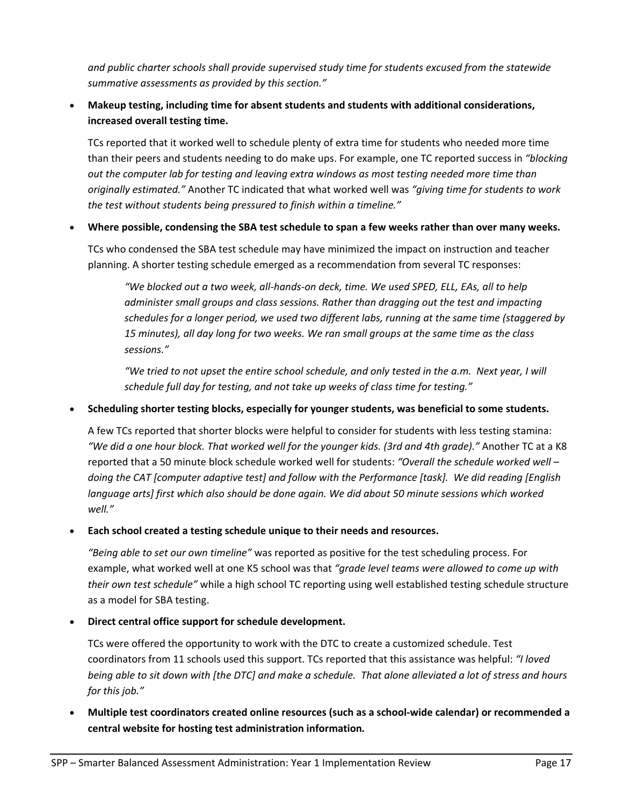*and public charter schools shall provide supervised study time for students excused from the statewide summative assessments as provided by this section."*

 **Makeup testing, including time for absent students and students with additional considerations, increased overall testing time.**

TCs reported that it worked well to schedule plenty of extra time for students who needed more time than their peers and students needing to do make ups. For example, one TC reported success in *"blocking out the computer lab for testing and leaving extra windows as most testing needed more time than originally estimated."* Another TC indicated that what worked well was *"giving time for students to work the test without students being pressured to finish within a timeline."*

# **Where possible, condensing the SBA test schedule to span a few weeks rather than over many weeks.**

TCs who condensed the SBA test schedule may have minimized the impact on instruction and teacher planning. A shorter testing schedule emerged as a recommendation from several TC responses:

"We blocked out a two week, all-hands-on deck, time. We used SPED, ELL, EAs, all to help *administer small groups and class sessions. Rather than dragging out the test and impacting schedules for a longer period, we used two different labs, running at the same time (staggered by 15 minutes), all day long for two weeks. We ran small groups at the same time as the class sessions."*

"We tried to not upset the entire school schedule, and only tested in the a.m. Next year, I will *schedule full day for testing, and not take up weeks of class time for testing."*

# **Scheduling shorter testing blocks, especially for younger students, was beneficial to some students.**

A few TCs reported that shorter blocks were helpful to consider for students with less testing stamina: *"We did a one hour block. That worked well for the younger kids. (3rd and 4th grade)."* Another TC at a K8 reported that a 50 minute block schedule worked well for students: *"Overall the schedule worked well – doing the CAT [computer adaptive test] and follow with the Performance [task]. We did reading [English language arts] first which also should be done again. We did about 50 minute sessions which worked well."*

#### **Each school created a testing schedule unique to their needs and resources.**

*"Being able to set our own timeline"* was reported as positive for the test scheduling process. For example, what worked well at one K5 school was that *"grade level teams were allowed to come up with their own test schedule"* while a high school TC reporting using well established testing schedule structure as a model for SBA testing.

#### **Direct central office support for schedule development.**

TCs were offered the opportunity to work with the DTC to create a customized schedule. Test coordinators from 11 schools used this support. TCs reported that this assistance was helpful: *"I loved* being able to sit down with [the DTC] and make a schedule. That alone alleviated a lot of stress and hours *for this job."*

 **Multiple test coordinators created online resources (such as a school‐wide calendar) or recommended a central website for hosting test administration information***.*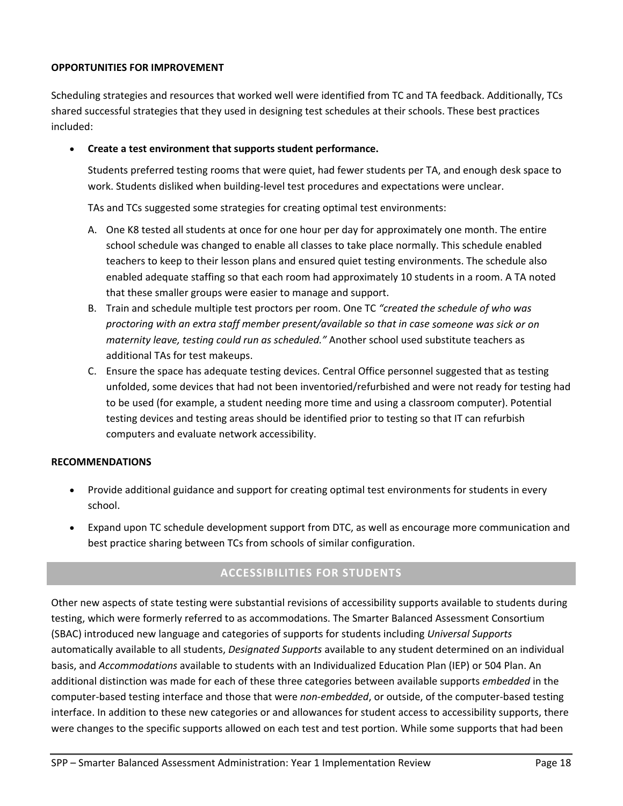## **OPPORTUNITIES FOR IMPROVEMENT**

Scheduling strategies and resources that worked well were identified from TC and TA feedback. Additionally, TCs shared successful strategies that they used in designing test schedules at their schools. These best practices included:

## **Create a test environment that supports student performance.**

Students preferred testing rooms that were quiet, had fewer students per TA, and enough desk space to work. Students disliked when building-level test procedures and expectations were unclear.

TAs and TCs suggested some strategies for creating optimal test environments:

- A. One K8 tested all students at once for one hour per day for approximately one month. The entire school schedule was changed to enable all classes to take place normally. This schedule enabled teachers to keep to their lesson plans and ensured quiet testing environments. The schedule also enabled adequate staffing so that each room had approximately 10 students in a room. A TA noted that these smaller groups were easier to manage and support.
- B. Train and schedule multiple test proctors per room. One TC *"created the schedule of who was proctoring with an extra staff member present/available so that in case someone was sick or on maternity leave, testing could run as scheduled."* Another school used substitute teachers as additional TAs for test makeups.
- C. Ensure the space has adequate testing devices. Central Office personnel suggested that as testing unfolded, some devices that had not been inventoried/refurbished and were not ready for testing had to be used (for example, a student needing more time and using a classroom computer). Potential testing devices and testing areas should be identified prior to testing so that IT can refurbish computers and evaluate network accessibility.

#### **RECOMMENDATIONS**

- Provide additional guidance and support for creating optimal test environments for students in every school.
- Expand upon TC schedule development support from DTC, as well as encourage more communication and best practice sharing between TCs from schools of similar configuration.

# **ACCESSIBILITIES FOR STUDENTS**

Other new aspects of state testing were substantial revisions of accessibility supports available to students during testing, which were formerly referred to as accommodations. The Smarter Balanced Assessment Consortium (SBAC) introduced new language and categories of supports for students including *Universal Supports* automatically available to all students, *Designated Supports* available to any student determined on an individual basis, and *Accommodations* available to students with an Individualized Education Plan (IEP) or 504 Plan. An additional distinction was made for each of these three categories between available supports *embedded* in the computer‐based testing interface and those that were *non‐embedded*, or outside, of the computer‐based testing interface. In addition to these new categories or and allowances for student access to accessibility supports, there were changes to the specific supports allowed on each test and test portion. While some supports that had been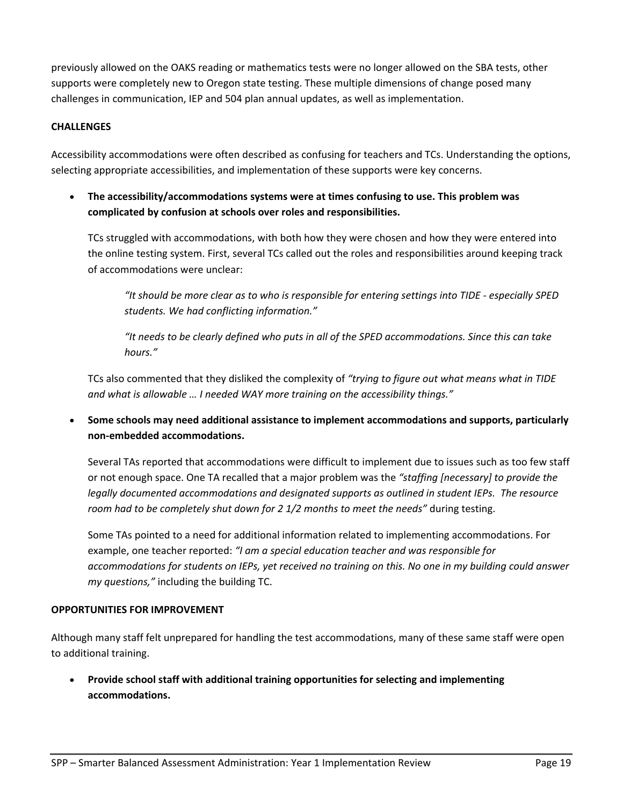previously allowed on the OAKS reading or mathematics tests were no longer allowed on the SBA tests, other supports were completely new to Oregon state testing. These multiple dimensions of change posed many challenges in communication, IEP and 504 plan annual updates, as well as implementation.

# **CHALLENGES**

Accessibility accommodations were often described as confusing for teachers and TCs. Understanding the options, selecting appropriate accessibilities, and implementation of these supports were key concerns.

 **The accessibility/accommodations systems were at times confusing to use. This problem was complicated by confusion at schools over roles and responsibilities.**

TCs struggled with accommodations, with both how they were chosen and how they were entered into the online testing system. First, several TCs called out the roles and responsibilities around keeping track of accommodations were unclear:

"It should be more clear as to who is responsible for entering settings into TIDE - especially SPED *students. We had conflicting information."*

*"It needs to be clearly defined who puts in all of the SPED accommodations. Since this can take hours."*

TCs also commented that they disliked the complexity of *"trying to figure out what means what in TIDE and what is allowable … I needed WAY more training on the accessibility things."*

 **Some schools may need additional assistance to implement accommodations and supports, particularly non‐embedded accommodations.**

Several TAs reported that accommodations were difficult to implement due to issues such as too few staff or not enough space. One TA recalled that a major problem was the *"staffing [necessary] to provide the legally documented accommodations and designated supports as outlined in student IEPs. The resource room had to be completely shut down for 2 1/2 months to meet the needs"* during testing.

Some TAs pointed to a need for additional information related to implementing accommodations. For example, one teacher reported: *"I am a special education teacher and was responsible for* accommodations for students on IEPs, yet received no training on this. No one in my building could answer *my questions,"* including the building TC.

#### **OPPORTUNITIES FOR IMPROVEMENT**

Although many staff felt unprepared for handling the test accommodations, many of these same staff were open to additional training.

 **Provide school staff with additional training opportunities for selecting and implementing accommodations.**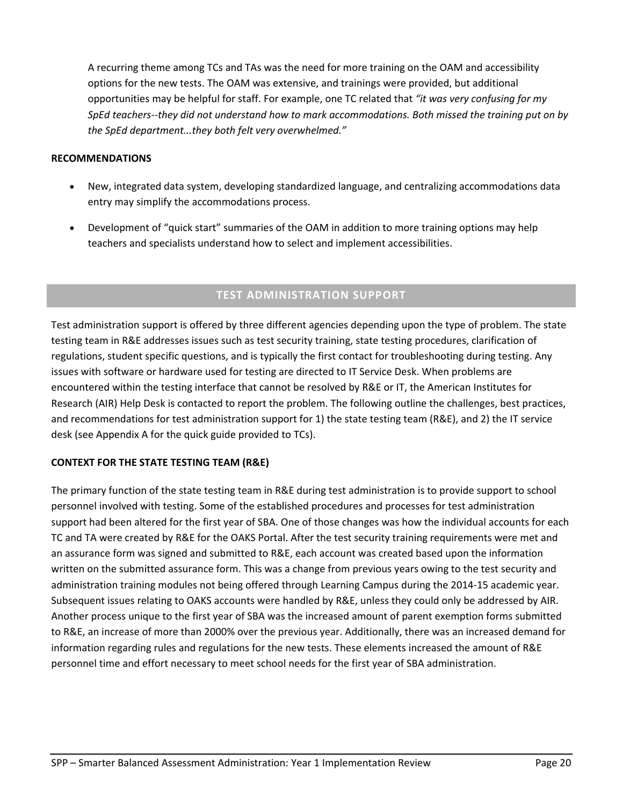A recurring theme among TCs and TAs was the need for more training on the OAM and accessibility options for the new tests. The OAM was extensive, and trainings were provided, but additional opportunities may be helpful for staff. For example, one TC related that *"it was very confusing for my* SpEd teachers--they did not understand how to mark accommodations. Both missed the training put on by *the SpEd department...they both felt very overwhelmed."*

#### **RECOMMENDATIONS**

- New, integrated data system, developing standardized language, and centralizing accommodations data entry may simplify the accommodations process.
- Development of "quick start" summaries of the OAM in addition to more training options may help teachers and specialists understand how to select and implement accessibilities.

# **TEST ADMINISTRATION SUPPORT**

Test administration support is offered by three different agencies depending upon the type of problem. The state testing team in R&E addresses issues such as test security training, state testing procedures, clarification of regulations, student specific questions, and is typically the first contact for troubleshooting during testing. Any issues with software or hardware used for testing are directed to IT Service Desk. When problems are encountered within the testing interface that cannot be resolved by R&E or IT, the American Institutes for Research (AIR) Help Desk is contacted to report the problem. The following outline the challenges, best practices, and recommendations for test administration support for 1) the state testing team (R&E), and 2) the IT service desk (see Appendix A for the quick guide provided to TCs).

#### **CONTEXT FOR THE STATE TESTING TEAM (R&E)**

The primary function of the state testing team in R&E during test administration is to provide support to school personnel involved with testing. Some of the established procedures and processes for test administration support had been altered for the first year of SBA. One of those changes was how the individual accounts for each TC and TA were created by R&E for the OAKS Portal. After the test security training requirements were met and an assurance form was signed and submitted to R&E, each account was created based upon the information written on the submitted assurance form. This was a change from previous years owing to the test security and administration training modules not being offered through Learning Campus during the 2014‐15 academic year. Subsequent issues relating to OAKS accounts were handled by R&E, unless they could only be addressed by AIR. Another process unique to the first year of SBA was the increased amount of parent exemption forms submitted to R&E, an increase of more than 2000% over the previous year. Additionally, there was an increased demand for information regarding rules and regulations for the new tests. These elements increased the amount of R&E personnel time and effort necessary to meet school needs for the first year of SBA administration.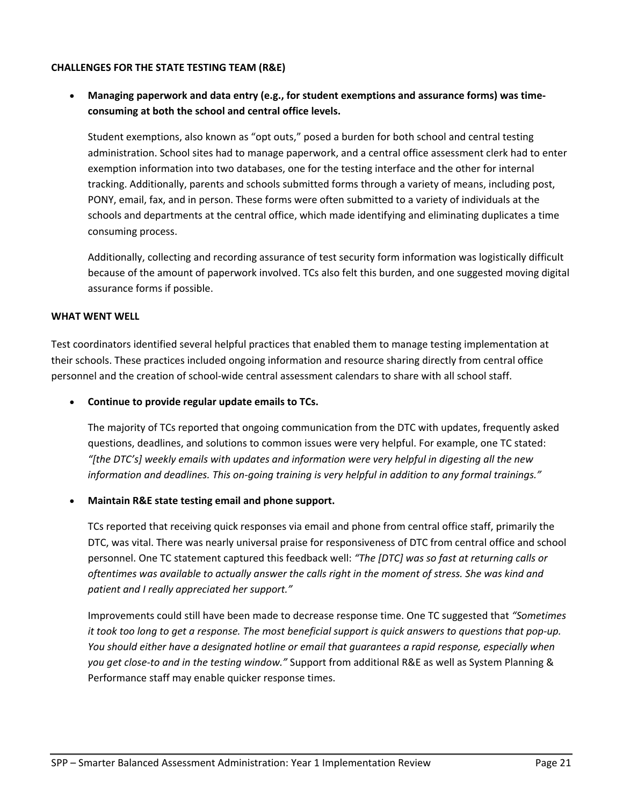#### **CHALLENGES FOR THE STATE TESTING TEAM (R&E)**

 **Managing paperwork and data entry (e.g., for student exemptions and assurance forms) was time‐ consuming at both the school and central office levels.** 

Student exemptions, also known as "opt outs," posed a burden for both school and central testing administration. School sites had to manage paperwork, and a central office assessment clerk had to enter exemption information into two databases, one for the testing interface and the other for internal tracking. Additionally, parents and schools submitted forms through a variety of means, including post, PONY, email, fax, and in person. These forms were often submitted to a variety of individuals at the schools and departments at the central office, which made identifying and eliminating duplicates a time consuming process.

Additionally, collecting and recording assurance of test security form information was logistically difficult because of the amount of paperwork involved. TCs also felt this burden, and one suggested moving digital assurance forms if possible.

#### **WHAT WENT WELL**

Test coordinators identified several helpful practices that enabled them to manage testing implementation at their schools. These practices included ongoing information and resource sharing directly from central office personnel and the creation of school-wide central assessment calendars to share with all school staff.

**Continue to provide regular update emails to TCs.**

The majority of TCs reported that ongoing communication from the DTC with updates, frequently asked questions, deadlines, and solutions to common issues were very helpful. For example, one TC stated: *"[the DTC's] weekly emails with updates and information were very helpful in digesting all the new information and deadlines. This on‐going training is very helpful in addition to any formal trainings."*

#### **Maintain R&E state testing email and phone support.**

TCs reported that receiving quick responses via email and phone from central office staff, primarily the DTC, was vital. There was nearly universal praise for responsiveness of DTC from central office and school personnel. One TC statement captured this feedback well: *"The [DTC] was so fast at returning calls or* oftentimes was available to actually answer the calls right in the moment of stress. She was kind and *patient and I really appreciated her support."*

Improvements could still have been made to decrease response time. One TC suggested that *"Sometimes* it took too long to get a response. The most beneficial support is quick answers to questions that pop-up. *You should either have a designated hotline or email that guarantees a rapid response, especially when you get close‐to and in the testing window."* Support from additional R&E as well as System Planning & Performance staff may enable quicker response times.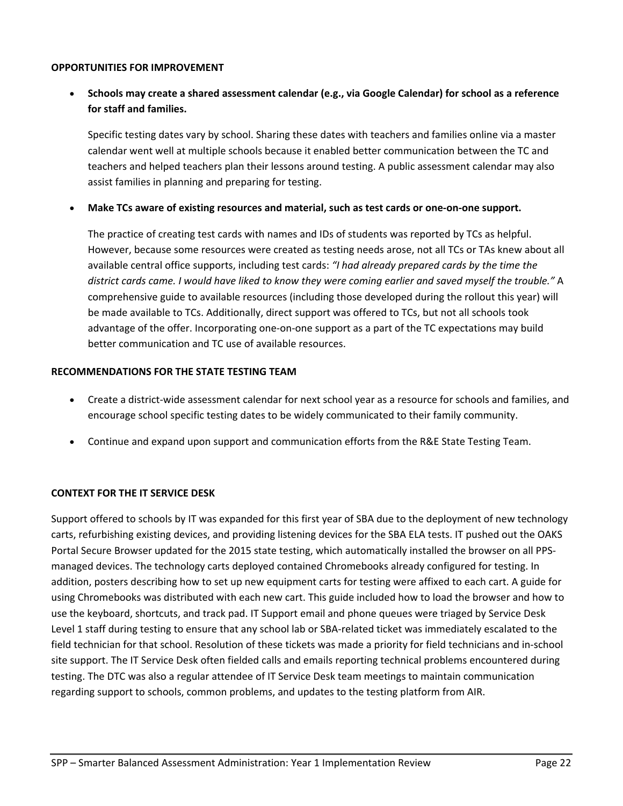#### **OPPORTUNITIES FOR IMPROVEMENT**

 **Schools may create a shared assessment calendar (e.g., via Google Calendar) for school as a reference for staff and families.**

Specific testing dates vary by school. Sharing these dates with teachers and families online via a master calendar went well at multiple schools because it enabled better communication between the TC and teachers and helped teachers plan their lessons around testing. A public assessment calendar may also assist families in planning and preparing for testing.

• Make TCs aware of existing resources and material, such as test cards or one-on-one support.

The practice of creating test cards with names and IDs of students was reported by TCs as helpful. However, because some resources were created as testing needs arose, not all TCs or TAs knew about all available central office supports, including test cards: *"I had already prepared cards by the time the* district cards came. I would have liked to know they were coming earlier and saved myself the trouble." A comprehensive guide to available resources (including those developed during the rollout this year) will be made available to TCs. Additionally, direct support was offered to TCs, but not all schools took advantage of the offer. Incorporating one‐on‐one support as a part of the TC expectations may build better communication and TC use of available resources.

#### **RECOMMENDATIONS FOR THE STATE TESTING TEAM**

- Create a district-wide assessment calendar for next school year as a resource for schools and families, and encourage school specific testing dates to be widely communicated to their family community.
- Continue and expand upon support and communication efforts from the R&E State Testing Team.

#### **CONTEXT FOR THE IT SERVICE DESK**

Support offered to schools by IT was expanded for this first year of SBA due to the deployment of new technology carts, refurbishing existing devices, and providing listening devices for the SBA ELA tests. IT pushed out the OAKS Portal Secure Browser updated for the 2015 state testing, which automatically installed the browser on all PPS‐ managed devices. The technology carts deployed contained Chromebooks already configured for testing. In addition, posters describing how to set up new equipment carts for testing were affixed to each cart. A guide for using Chromebooks was distributed with each new cart. This guide included how to load the browser and how to use the keyboard, shortcuts, and track pad. IT Support email and phone queues were triaged by Service Desk Level 1 staff during testing to ensure that any school lab or SBA-related ticket was immediately escalated to the field technician for that school. Resolution of these tickets was made a priority for field technicians and in‐school site support. The IT Service Desk often fielded calls and emails reporting technical problems encountered during testing. The DTC was also a regular attendee of IT Service Desk team meetings to maintain communication regarding support to schools, common problems, and updates to the testing platform from AIR.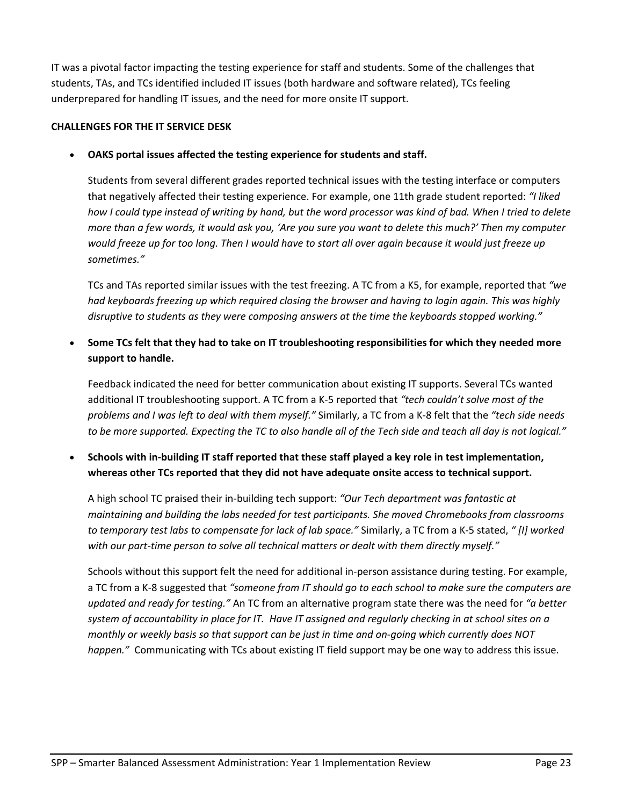IT was a pivotal factor impacting the testing experience for staff and students. Some of the challenges that students, TAs, and TCs identified included IT issues (both hardware and software related), TCs feeling underprepared for handling IT issues, and the need for more onsite IT support.

### **CHALLENGES FOR THE IT SERVICE DESK**

**OAKS portal issues affected the testing experience for students and staff.**

Students from several different grades reported technical issues with the testing interface or computers that negatively affected their testing experience. For example, one 11th grade student reported: *"I liked* how I could type instead of writing by hand, but the word processor was kind of bad. When I tried to delete more than a few words, it would ask you, 'Are you sure you want to delete this much?' Then my computer would freeze up for too long. Then I would have to start all over again because it would just freeze up *sometimes."*

TCs and TAs reported similar issues with the test freezing. A TC from a K5, for example, reported that *"we had keyboards freezing up which required closing the browser and having to login again. This was highly disruptive to students as they were composing answers at the time the keyboards stopped working."*

 **Some TCs felt that they had to take on IT troubleshooting responsibilities for which they needed more support to handle.**

Feedback indicated the need for better communication about existing IT supports. Several TCs wanted additional IT troubleshooting support. A TC from a K‐5 reported that *"tech couldn't solve most of the problems and I was left to deal with them myself."* Similarly, a TC from a K‐8 felt that the *"tech side needs* to be more supported. Expecting the TC to also handle all of the Tech side and teach all day is not logical."

Schools with in-building IT staff reported that these staff played a key role in test implementation, **whereas other TCs reported that they did not have adequate onsite access to technical support.**

A high school TC praised their in‐building tech support: *"Our Tech department was fantastic at maintaining and building the labs needed for test participants. She moved Chromebooks from classrooms to temporary test labs to compensate for lack of lab space."* Similarly, a TC from a K‐5 stated, *" [I] worked with our part‐time person to solve all technical matters or dealt with them directly myself."*

Schools without this support felt the need for additional in‐person assistance during testing. For example, a TC from a K‐8 suggested that *"someone from IT should go to each school to make sure the computers are updated and ready for testing."* An TC from an alternative program state there was the need for *"a better* system of accountability in place for IT. Have IT assigned and regularly checking in at school sites on a monthly or weekly basis so that support can be just in time and on-going which currently does NOT *happen."* Communicating with TCs about existing IT field support may be one way to address this issue.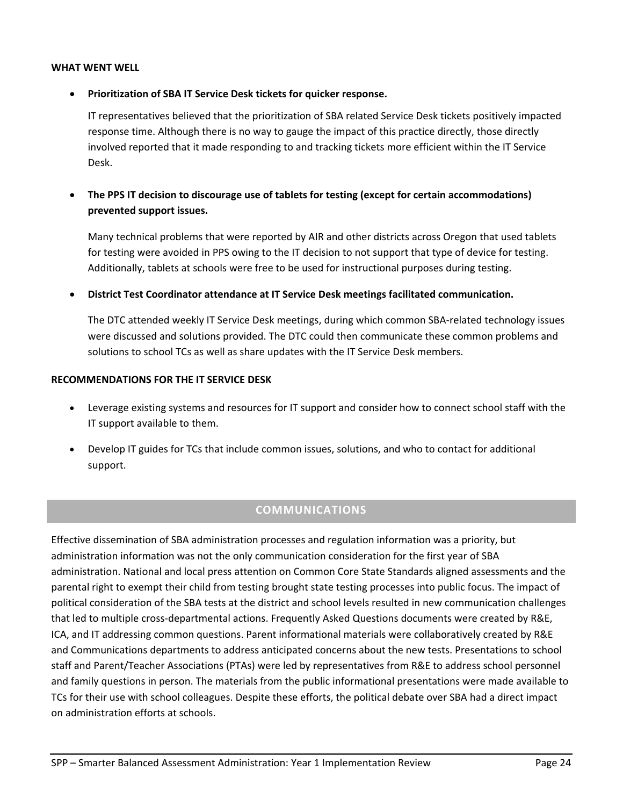#### **WHAT WENT WELL**

### **Prioritization of SBA IT Service Desk tickets for quicker response.**

IT representatives believed that the prioritization of SBA related Service Desk tickets positively impacted response time. Although there is no way to gauge the impact of this practice directly, those directly involved reported that it made responding to and tracking tickets more efficient within the IT Service Desk.

# **The PPS IT decision to discourage use of tablets for testing (except for certain accommodations) prevented support issues.**

Many technical problems that were reported by AIR and other districts across Oregon that used tablets for testing were avoided in PPS owing to the IT decision to not support that type of device for testing. Additionally, tablets at schools were free to be used for instructional purposes during testing.

**District Test Coordinator attendance at IT Service Desk meetings facilitated communication.**

The DTC attended weekly IT Service Desk meetings, during which common SBA‐related technology issues were discussed and solutions provided. The DTC could then communicate these common problems and solutions to school TCs as well as share updates with the IT Service Desk members.

#### **RECOMMENDATIONS FOR THE IT SERVICE DESK**

- Leverage existing systems and resources for IT support and consider how to connect school staff with the IT support available to them.
- Develop IT guides for TCs that include common issues, solutions, and who to contact for additional support.

# **COMMUNICATIONS**

Effective dissemination of SBA administration processes and regulation information was a priority, but administration information was not the only communication consideration for the first year of SBA administration. National and local press attention on Common Core State Standards aligned assessments and the parental right to exempt their child from testing brought state testing processes into public focus. The impact of political consideration of the SBA tests at the district and school levels resulted in new communication challenges that led to multiple cross-departmental actions. Frequently Asked Questions documents were created by R&E, ICA, and IT addressing common questions. Parent informational materials were collaboratively created by R&E and Communications departments to address anticipated concerns about the new tests. Presentations to school staff and Parent/Teacher Associations (PTAs) were led by representatives from R&E to address school personnel and family questions in person. The materials from the public informational presentations were made available to TCs for their use with school colleagues. Despite these efforts, the political debate over SBA had a direct impact on administration efforts at schools.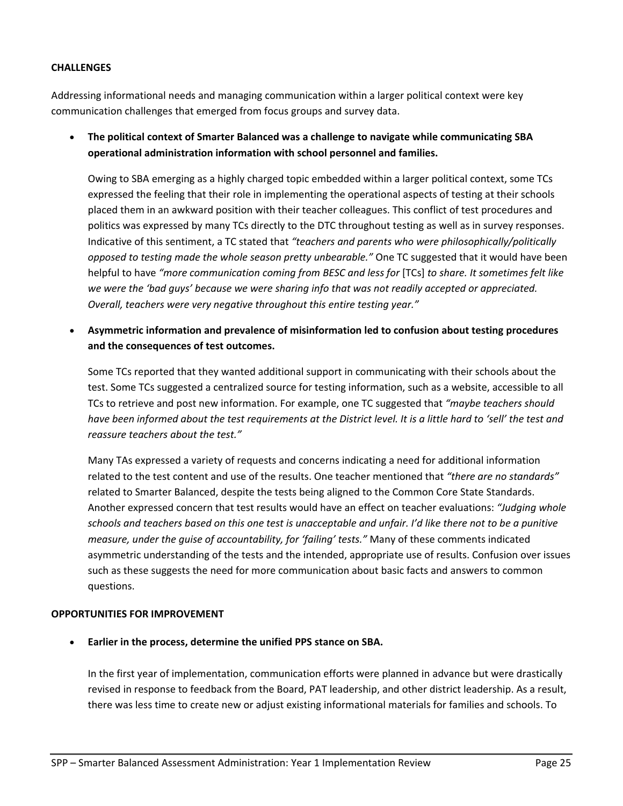### **CHALLENGES**

Addressing informational needs and managing communication within a larger political context were key communication challenges that emerged from focus groups and survey data.

 **The political context of Smarter Balanced was a challenge to navigate while communicating SBA operational administration information with school personnel and families.**

Owing to SBA emerging as a highly charged topic embedded within a larger political context, some TCs expressed the feeling that their role in implementing the operational aspects of testing at their schools placed them in an awkward position with their teacher colleagues. This conflict of test procedures and politics was expressed by many TCs directly to the DTC throughout testing as well as in survey responses. Indicative of this sentiment, a TC stated that *"teachers and parents who were philosophically/politically opposed to testing made the whole season pretty unbearable."* One TC suggested that it would have been helpful to have *"more communication coming from BESC and less for* [TCs] *to share. It sometimes felt like we were the 'bad guys' because we were sharing info that was not readily accepted or appreciated. Overall, teachers were very negative throughout this entire testing year."*

 **Asymmetric information and prevalence of misinformation led to confusion about testing procedures and the consequences of test outcomes.**

Some TCs reported that they wanted additional support in communicating with their schools about the test. Some TCs suggested a centralized source for testing information, such as a website, accessible to all TCs to retrieve and post new information. For example, one TC suggested that *"maybe teachers should* have been informed about the test requirements at the District level. It is a little hard to 'sell' the test and *reassure teachers about the test."*

Many TAs expressed a variety of requests and concerns indicating a need for additional information related to the test content and use of the results. One teacher mentioned that *"there are no standards"* related to Smarter Balanced, despite the tests being aligned to the Common Core State Standards. Another expressed concern that test results would have an effect on teacher evaluations: *"Judging whole* schools and teachers based on this one test is unacceptable and unfair. I'd like there not to be a punitive *measure, under the guise of accountability, for 'failing' tests."* Many of these comments indicated asymmetric understanding of the tests and the intended, appropriate use of results. Confusion over issues such as these suggests the need for more communication about basic facts and answers to common questions.

#### **OPPORTUNITIES FOR IMPROVEMENT**

**Earlier in the process, determine the unified PPS stance on SBA.**

In the first year of implementation, communication efforts were planned in advance but were drastically revised in response to feedback from the Board, PAT leadership, and other district leadership. As a result, there was less time to create new or adjust existing informational materials for families and schools. To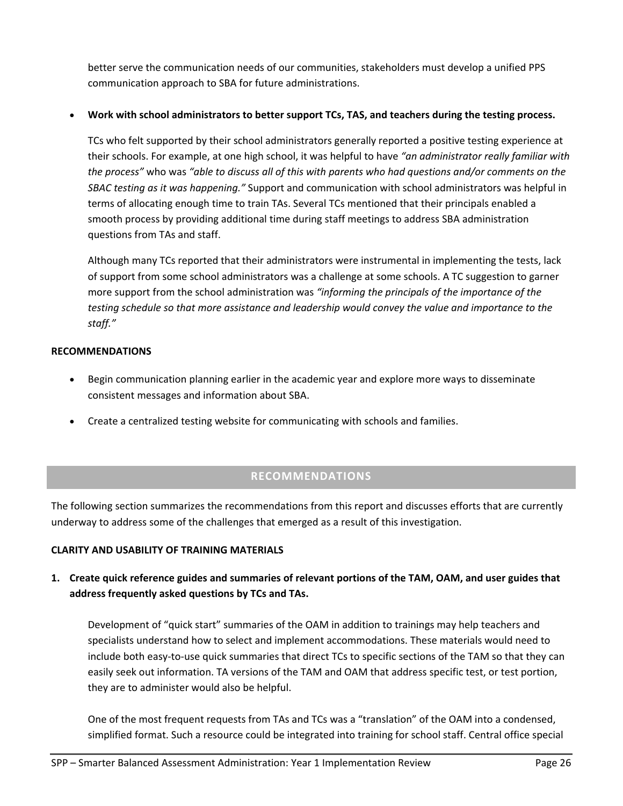better serve the communication needs of our communities, stakeholders must develop a unified PPS communication approach to SBA for future administrations.

## **Work with school administrators to better support TCs, TAS, and teachers during the testing process.**

TCs who felt supported by their school administrators generally reported a positive testing experience at their schools. For example, at one high school, it was helpful to have *"an administrator really familiar with the process"* who was *"able to discuss all of this with parents who had questions and/or comments on the SBAC testing as it was happening."* Support and communication with school administrators was helpful in terms of allocating enough time to train TAs. Several TCs mentioned that their principals enabled a smooth process by providing additional time during staff meetings to address SBA administration questions from TAs and staff.

Although many TCs reported that their administrators were instrumental in implementing the tests, lack of support from some school administrators was a challenge at some schools. A TC suggestion to garner more support from the school administration was *"informing the principals of the importance of the testing schedule so that more assistance and leadership would convey the value and importance to the staff."*

#### **RECOMMENDATIONS**

- Begin communication planning earlier in the academic year and explore more ways to disseminate consistent messages and information about SBA.
- Create a centralized testing website for communicating with schools and families.

# **RECOMMENDATIONS**

The following section summarizes the recommendations from this report and discusses efforts that are currently underway to address some of the challenges that emerged as a result of this investigation.

# **CLARITY AND USABILITY OF TRAINING MATERIALS**

1. Create quick reference guides and summaries of relevant portions of the TAM, OAM, and user guides that **address frequently asked questions by TCs and TAs.**

Development of "quick start" summaries of the OAM in addition to trainings may help teachers and specialists understand how to select and implement accommodations. These materials would need to include both easy‐to‐use quick summaries that direct TCs to specific sections of the TAM so that they can easily seek out information. TA versions of the TAM and OAM that address specific test, or test portion, they are to administer would also be helpful.

One of the most frequent requests from TAs and TCs was a "translation" of the OAM into a condensed, simplified format. Such a resource could be integrated into training for school staff. Central office special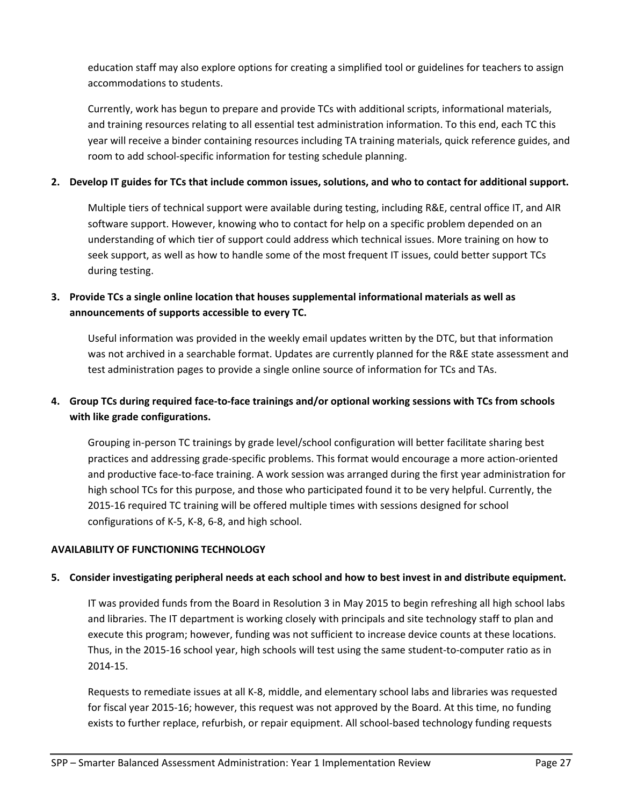education staff may also explore options for creating a simplified tool or guidelines for teachers to assign accommodations to students.

Currently, work has begun to prepare and provide TCs with additional scripts, informational materials, and training resources relating to all essential test administration information. To this end, each TC this year will receive a binder containing resources including TA training materials, quick reference guides, and room to add school‐specific information for testing schedule planning.

# 2. Develop IT guides for TCs that include common issues, solutions, and who to contact for additional support.

Multiple tiers of technical support were available during testing, including R&E, central office IT, and AIR software support. However, knowing who to contact for help on a specific problem depended on an understanding of which tier of support could address which technical issues. More training on how to seek support, as well as how to handle some of the most frequent IT issues, could better support TCs during testing.

# **3. Provide TCs a single online location that houses supplemental informational materials as well as announcements of supports accessible to every TC.**

Useful information was provided in the weekly email updates written by the DTC, but that information was not archived in a searchable format. Updates are currently planned for the R&E state assessment and test administration pages to provide a single online source of information for TCs and TAs.

# 4. Group TCs during required face-to-face trainings and/or optional working sessions with TCs from schools **with like grade configurations.**

Grouping in‐person TC trainings by grade level/school configuration will better facilitate sharing best practices and addressing grade‐specific problems. This format would encourage a more action‐oriented and productive face-to-face training. A work session was arranged during the first year administration for high school TCs for this purpose, and those who participated found it to be very helpful. Currently, the 2015‐16 required TC training will be offered multiple times with sessions designed for school configurations of K‐5, K‐8, 6‐8, and high school.

# **AVAILABILITY OF FUNCTIONING TECHNOLOGY**

# 5. Consider investigating peripheral needs at each school and how to best invest in and distribute equipment.

IT was provided funds from the Board in Resolution 3 in May 2015 to begin refreshing all high school labs and libraries. The IT department is working closely with principals and site technology staff to plan and execute this program; however, funding was not sufficient to increase device counts at these locations. Thus, in the 2015‐16 school year, high schools will test using the same student‐to‐computer ratio as in 2014‐15.

Requests to remediate issues at all K‐8, middle, and elementary school labs and libraries was requested for fiscal year 2015-16; however, this request was not approved by the Board. At this time, no funding exists to further replace, refurbish, or repair equipment. All school‐based technology funding requests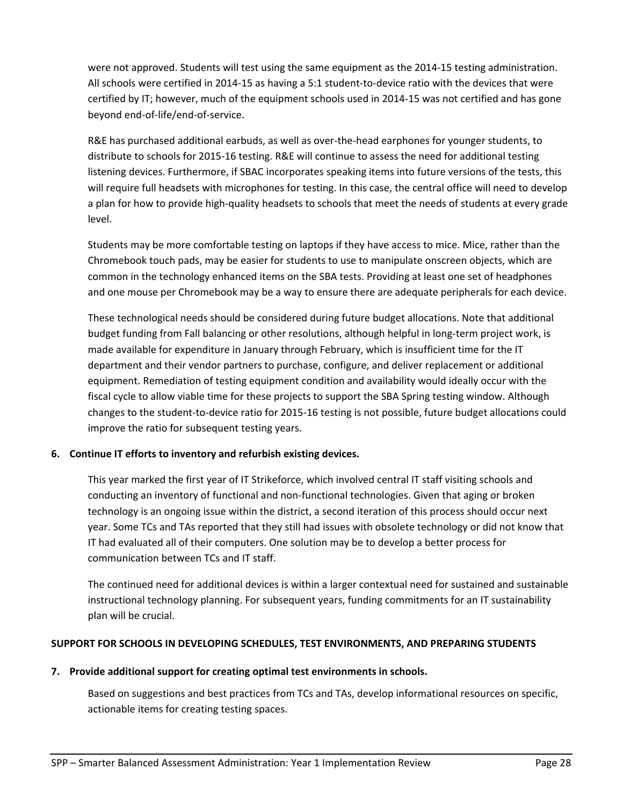were not approved. Students will test using the same equipment as the 2014‐15 testing administration. All schools were certified in 2014‐15 as having a 5:1 student‐to‐device ratio with the devices that were certified by IT; however, much of the equipment schools used in 2014‐15 was not certified and has gone beyond end‐of‐life/end‐of‐service.

R&E has purchased additional earbuds, as well as over-the-head earphones for younger students, to distribute to schools for 2015‐16 testing. R&E will continue to assess the need for additional testing listening devices. Furthermore, if SBAC incorporates speaking items into future versions of the tests, this will require full headsets with microphones for testing. In this case, the central office will need to develop a plan for how to provide high-quality headsets to schools that meet the needs of students at every grade level.

Students may be more comfortable testing on laptops if they have access to mice. Mice, rather than the Chromebook touch pads, may be easier for students to use to manipulate onscreen objects, which are common in the technology enhanced items on the SBA tests. Providing at least one set of headphones and one mouse per Chromebook may be a way to ensure there are adequate peripherals for each device.

These technological needs should be considered during future budget allocations. Note that additional budget funding from Fall balancing or other resolutions, although helpful in long‐term project work, is made available for expenditure in January through February, which is insufficient time for the IT department and their vendor partners to purchase, configure, and deliver replacement or additional equipment. Remediation of testing equipment condition and availability would ideally occur with the fiscal cycle to allow viable time for these projects to support the SBA Spring testing window. Although changes to the student‐to‐device ratio for 2015‐16 testing is not possible, future budget allocations could improve the ratio for subsequent testing years.

# **6. Continue IT efforts to inventory and refurbish existing devices.**

This year marked the first year of IT Strikeforce, which involved central IT staff visiting schools and conducting an inventory of functional and non‐functional technologies. Given that aging or broken technology is an ongoing issue within the district, a second iteration of this process should occur next year. Some TCs and TAs reported that they still had issues with obsolete technology or did not know that IT had evaluated all of their computers. One solution may be to develop a better process for communication between TCs and IT staff.

The continued need for additional devices is within a larger contextual need for sustained and sustainable instructional technology planning. For subsequent years, funding commitments for an IT sustainability plan will be crucial.

#### **SUPPORT FOR SCHOOLS IN DEVELOPING SCHEDULES, TEST ENVIRONMENTS, AND PREPARING STUDENTS**

#### **7. Provide additional support for creating optimal test environments in schools.**

Based on suggestions and best practices from TCs and TAs, develop informational resources on specific, actionable items for creating testing spaces.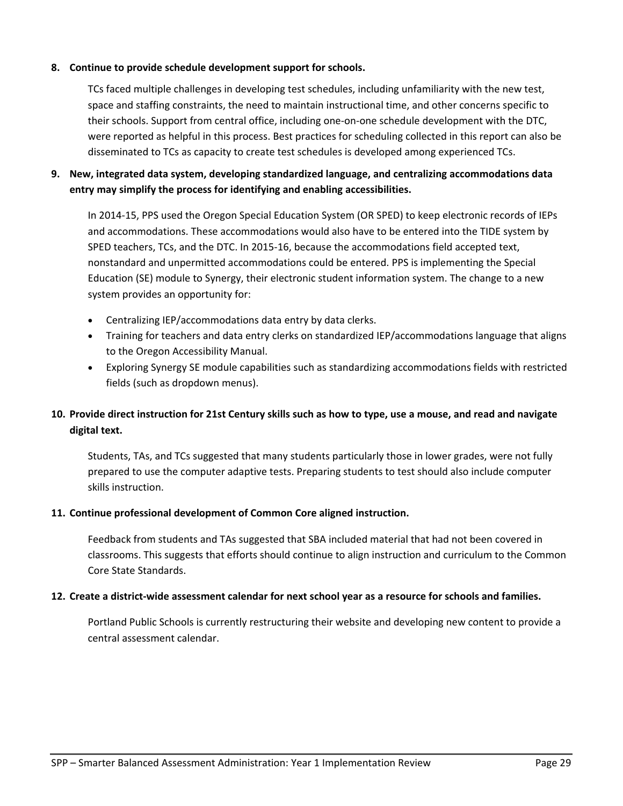### **8. Continue to provide schedule development support for schools.**

TCs faced multiple challenges in developing test schedules, including unfamiliarity with the new test, space and staffing constraints, the need to maintain instructional time, and other concerns specific to their schools. Support from central office, including one‐on‐one schedule development with the DTC, were reported as helpful in this process. Best practices for scheduling collected in this report can also be disseminated to TCs as capacity to create test schedules is developed among experienced TCs.

# **9. New, integrated data system, developing standardized language, and centralizing accommodations data entry may simplify the process for identifying and enabling accessibilities.**

In 2014‐15, PPS used the Oregon Special Education System (OR SPED) to keep electronic records of IEPs and accommodations. These accommodations would also have to be entered into the TIDE system by SPED teachers, TCs, and the DTC. In 2015‐16, because the accommodations field accepted text, nonstandard and unpermitted accommodations could be entered. PPS is implementing the Special Education (SE) module to Synergy, their electronic student information system. The change to a new system provides an opportunity for:

- Centralizing IEP/accommodations data entry by data clerks.
- Training for teachers and data entry clerks on standardized IEP/accommodations language that aligns to the Oregon Accessibility Manual.
- Exploring Synergy SE module capabilities such as standardizing accommodations fields with restricted fields (such as dropdown menus).

# 10. Provide direct instruction for 21st Century skills such as how to type, use a mouse, and read and navigate **digital text.**

Students, TAs, and TCs suggested that many students particularly those in lower grades, were not fully prepared to use the computer adaptive tests. Preparing students to test should also include computer skills instruction.

#### **11. Continue professional development of Common Core aligned instruction.**

Feedback from students and TAs suggested that SBA included material that had not been covered in classrooms. This suggests that efforts should continue to align instruction and curriculum to the Common Core State Standards.

#### 12. Create a district-wide assessment calendar for next school year as a resource for schools and families.

Portland Public Schools is currently restructuring their website and developing new content to provide a central assessment calendar.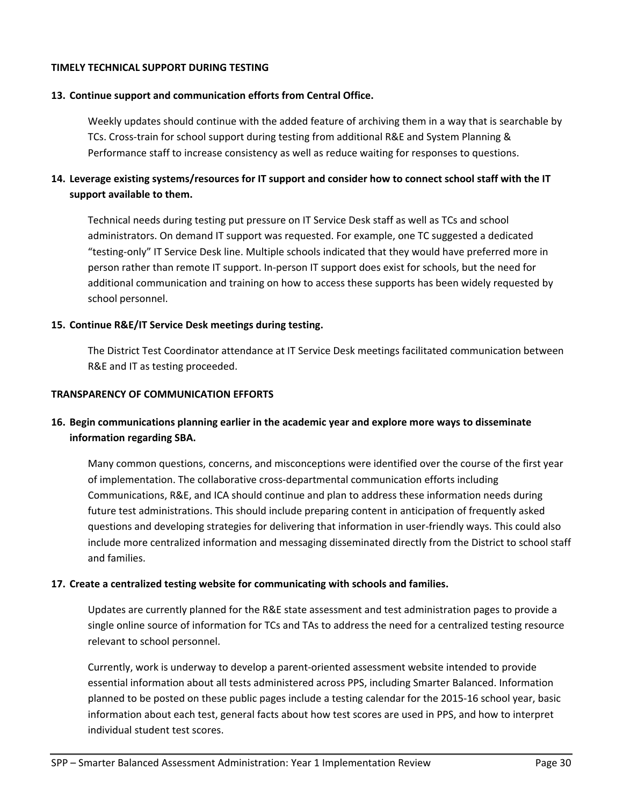#### **TIMELY TECHNICAL SUPPORT DURING TESTING**

#### **13. Continue support and communication efforts from Central Office.**

Weekly updates should continue with the added feature of archiving them in a way that is searchable by TCs. Cross‐train for school support during testing from additional R&E and System Planning & Performance staff to increase consistency as well as reduce waiting for responses to questions.

# 14. Leverage existing systems/resources for IT support and consider how to connect school staff with the IT **support available to them.**

Technical needs during testing put pressure on IT Service Desk staff as well as TCs and school administrators. On demand IT support was requested. For example, one TC suggested a dedicated "testing‐only" IT Service Desk line. Multiple schools indicated that they would have preferred more in person rather than remote IT support. In‐person IT support does exist for schools, but the need for additional communication and training on how to access these supports has been widely requested by school personnel.

#### **15. Continue R&E/IT Service Desk meetings during testing.**

The District Test Coordinator attendance at IT Service Desk meetings facilitated communication between R&E and IT as testing proceeded.

#### **TRANSPARENCY OF COMMUNICATION EFFORTS**

# **16. Begin communications planning earlier in the academic year and explore more ways to disseminate information regarding SBA.**

Many common questions, concerns, and misconceptions were identified over the course of the first year of implementation. The collaborative cross‐departmental communication efforts including Communications, R&E, and ICA should continue and plan to address these information needs during future test administrations. This should include preparing content in anticipation of frequently asked questions and developing strategies for delivering that information in user-friendly ways. This could also include more centralized information and messaging disseminated directly from the District to school staff and families.

#### **17. Create a centralized testing website for communicating with schools and families.**

Updates are currently planned for the R&E state assessment and test administration pages to provide a single online source of information for TCs and TAs to address the need for a centralized testing resource relevant to school personnel.

Currently, work is underway to develop a parent‐oriented assessment website intended to provide essential information about all tests administered across PPS, including Smarter Balanced. Information planned to be posted on these public pages include a testing calendar for the 2015‐16 school year, basic information about each test, general facts about how test scores are used in PPS, and how to interpret individual student test scores.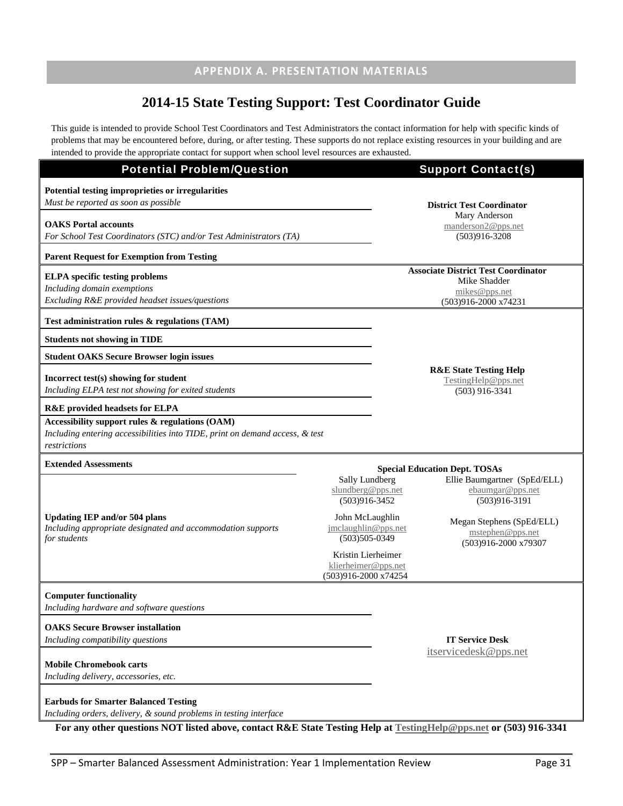# **APPENDIX A. PRESENTATION MATERIALS**

# **2014-15 State Testing Support: Test Coordinator Guide**

This guide is intended to provide School Test Coordinators and Test Administrators the contact information for help with specific kinds of problems that may be encountered before, during, or after testing. These supports do not replace existing resources in your building and are intended to provide the appropriate contact for support when school level resources are exhausted.

| <b>Potential Problem/Question</b>                                                                                                                                                                                                              |                                                                   | <b>Support Contact(s)</b>                                                                           |
|------------------------------------------------------------------------------------------------------------------------------------------------------------------------------------------------------------------------------------------------|-------------------------------------------------------------------|-----------------------------------------------------------------------------------------------------|
| Potential testing improprieties or irregularities<br>Must be reported as soon as possible                                                                                                                                                      |                                                                   | <b>District Test Coordinator</b>                                                                    |
| <b>OAKS</b> Portal accounts<br>For School Test Coordinators (STC) and/or Test Administrators (TA)                                                                                                                                              |                                                                   | Mary Anderson<br>manderson2@pps.net<br>$(503)916 - 3208$                                            |
| <b>Parent Request for Exemption from Testing</b>                                                                                                                                                                                               |                                                                   |                                                                                                     |
| <b>ELPA</b> specific testing problems<br>Including domain exemptions<br>Excluding R&E provided headset issues/questions                                                                                                                        |                                                                   | <b>Associate District Test Coordinator</b><br>Mike Shadder<br>mikes@pps.net<br>(503)916-2000 x74231 |
| Test administration rules $\&$ regulations (TAM)                                                                                                                                                                                               |                                                                   |                                                                                                     |
| <b>Students not showing in TIDE</b>                                                                                                                                                                                                            |                                                                   |                                                                                                     |
| <b>Student OAKS Secure Browser login issues</b>                                                                                                                                                                                                |                                                                   |                                                                                                     |
| Incorrect test(s) showing for student<br>Including ELPA test not showing for exited students                                                                                                                                                   |                                                                   | <b>R&amp;E State Testing Help</b><br>TestingHelp@pps.net<br>$(503)$ 916-3341                        |
| <b>R&amp;E</b> provided headsets for ELPA                                                                                                                                                                                                      |                                                                   |                                                                                                     |
| Accessibility support rules & regulations (OAM)<br>Including entering accessibilities into TIDE, print on demand access, & test<br>restrictions                                                                                                |                                                                   |                                                                                                     |
| <b>Extended Assessments</b>                                                                                                                                                                                                                    |                                                                   | <b>Special Education Dept. TOSAs</b>                                                                |
|                                                                                                                                                                                                                                                | Sally Lundberg<br>slundberg@pps.net<br>$(503)916 - 3452$          | Ellie Baumgartner (SpEd/ELL)<br>ebaumgar@pps.net<br>$(503)916-3191$                                 |
| <b>Updating IEP and/or 504 plans</b><br>Including appropriate designated and accommodation supports<br>for students                                                                                                                            | John McLaughlin<br>jmclaughlin@pps.net<br>$(503)505 - 0349$       | Megan Stephens (SpEd/ELL)<br>mstephen@pps.net<br>(503)916-2000 x79307                               |
|                                                                                                                                                                                                                                                | Kristin Lierheimer<br>klierheimer@pps.net<br>(503)916-2000 x74254 |                                                                                                     |
| <b>Computer functionality</b><br>Including hardware and software questions                                                                                                                                                                     |                                                                   |                                                                                                     |
| <b>OAKS</b> Secure Browser installation                                                                                                                                                                                                        |                                                                   |                                                                                                     |
| Including compatibility questions<br><b>Mobile Chromebook carts</b>                                                                                                                                                                            |                                                                   | <b>IT Service Desk</b><br>itservicedesk@pps.net                                                     |
| Including delivery, accessories, etc.                                                                                                                                                                                                          |                                                                   |                                                                                                     |
| <b>Earbuds for Smarter Balanced Testing</b><br>Including orders, delivery, & sound problems in testing interface<br>Early of the questions NOT listed above, contact $R_{\rm F}$ State Testing Help of Testing Help @nns not or (502) 016 2241 |                                                                   |                                                                                                     |

**For any other questions NOT listed above, contact R&E State Testing Help at TestingHelp@pps.net or (503) 916-3341**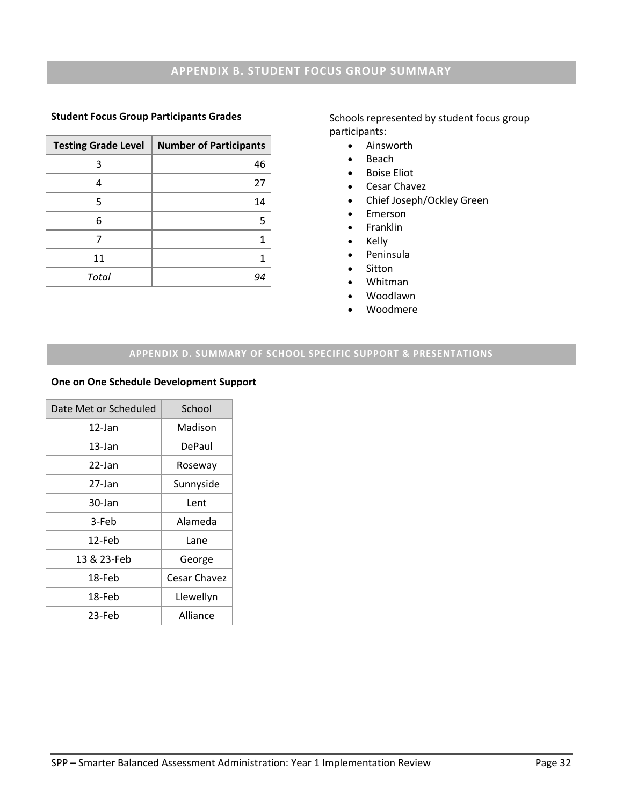## **Student Focus Group Participants Grades**

| <b>Testing Grade Level</b> | <b>Number of Participants</b> |
|----------------------------|-------------------------------|
|                            | 46                            |
| 4                          | 27                            |
| 5                          | 14                            |
| 6                          | 5                             |
|                            | 1                             |
| 11                         | 1                             |
| Total                      | 94                            |

Schools represented by student focus group participants:

- Ainsworth
- $\bullet$  Beach
- **•** Boise Eliot
- Cesar Chavez
- Chief Joseph/Ockley Green
- Emerson
- Franklin
- Kelly
- Peninsula
- Sitton
- Whitman
- Woodlawn
- Woodmere

# **APPENDIX D. SUMMARY OF SCHOOL SPECIFIC SUPPORT & PRESENTATIONS**

#### **One on One Schedule Development Support**

| Date Met or Scheduled | School       |
|-----------------------|--------------|
| 12-Jan                | Madison      |
| $13$ -Jan             | DePaul       |
| 22-Jan                | Roseway      |
| 27-Jan                | Sunnyside    |
| 30-Jan                | Lent         |
| 3-Feb                 | Alameda      |
| 12-Feb                | Lane         |
| 13 & 23-Feb           | George       |
| 18-Feb                | Cesar Chavez |
| 18-Feb                | Llewellyn    |
| 23-Feb                | Alliance     |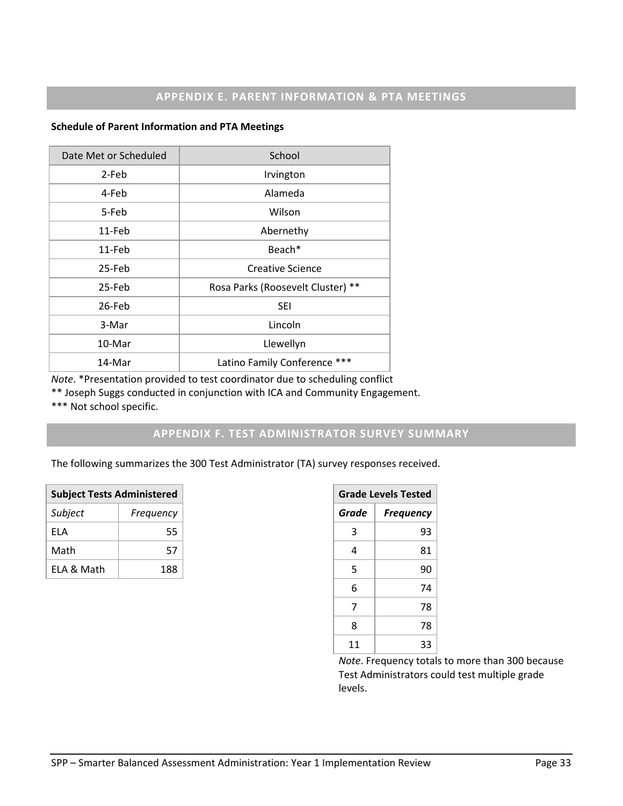#### **Schedule of Parent Information and PTA Meetings**

| Date Met or Scheduled | School                            |
|-----------------------|-----------------------------------|
| 2-Feb                 | Irvington                         |
| 4-Feb                 | Alameda                           |
| 5-Feb                 | Wilson                            |
| 11-Feb                | Abernethy                         |
| 11-Feb                | Beach*                            |
| 25-Feb                | Creative Science                  |
| 25-Feb                | Rosa Parks (Roosevelt Cluster) ** |
| 26-Feb                | <b>SEI</b>                        |
| 3-Mar                 | Lincoln                           |
| 10-Mar                | Llewellyn                         |
| 14-Mar                | Latino Family Conference ***      |

*Note*. \*Presentation provided to test coordinator due to scheduling conflict

\*\* Joseph Suggs conducted in conjunction with ICA and Community Engagement.

\*\*\* Not school specific.

# **APPENDIX F. TEST ADMINISTRATOR SURVEY SUMMARY**

The following summarizes the 300 Test Administrator (TA) survey responses received.

| <b>Subject Tests Administered</b> |           |  |
|-----------------------------------|-----------|--|
| Subject                           | Frequency |  |
| FLA                               | 55        |  |
| Math                              | 57        |  |
| FI A & Math                       | 188       |  |

| <b>Grade Levels Tested</b> |    |  |
|----------------------------|----|--|
| Grade<br><b>Frequency</b>  |    |  |
| 3                          | 93 |  |
| 4                          | 81 |  |
| 5                          | 90 |  |
| 6                          | 74 |  |
| 7                          | 78 |  |
| 8                          | 78 |  |
| 11                         | 33 |  |

*Note*. Frequency totals to more than 300 because Test Administrators could test multiple grade levels.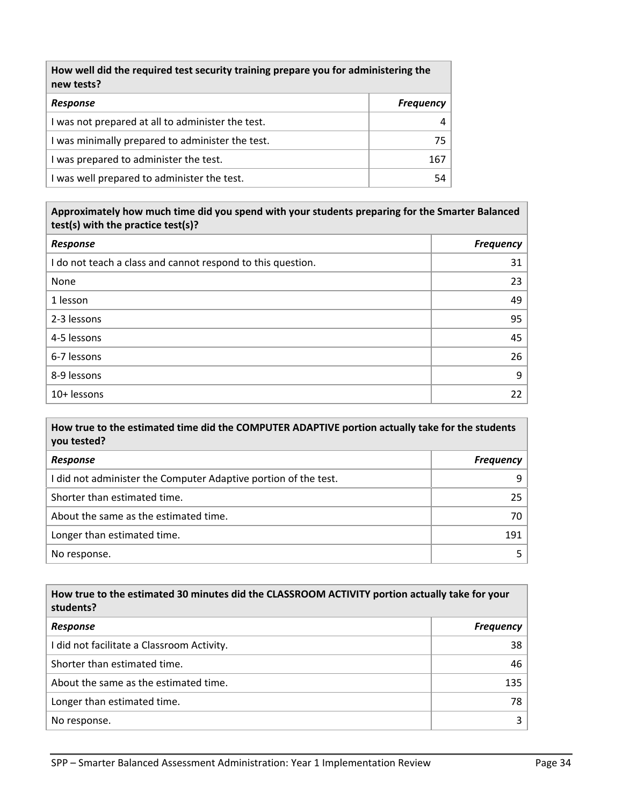| How well did the required test security training prepare you for administering the<br>new tests? |                  |  |
|--------------------------------------------------------------------------------------------------|------------------|--|
| Response                                                                                         | <b>Frequency</b> |  |
| I was not prepared at all to administer the test.                                                |                  |  |
| I was minimally prepared to administer the test.                                                 | 75               |  |
| I was prepared to administer the test.                                                           | 167              |  |
| I was well prepared to administer the test.                                                      | 54               |  |

# **Approximately how much time did you spend with your students preparing for the Smarter Balanced test(s) with the practice test(s)?**

| Response                                                    | <b>Frequency</b> |
|-------------------------------------------------------------|------------------|
| I do not teach a class and cannot respond to this question. | 31               |
| None                                                        | 23               |
| 1 lesson                                                    | 49               |
| 2-3 lessons                                                 | 95               |
| 4-5 lessons                                                 | 45               |
| 6-7 lessons                                                 | 26               |
| 8-9 lessons                                                 | 9                |
| 10+ lessons                                                 | 22               |

# **How true to the estimated time did the COMPUTER ADAPTIVE portion actually take for the students you tested?**

| Response                                                        | <b>Frequency</b> |
|-----------------------------------------------------------------|------------------|
| I did not administer the Computer Adaptive portion of the test. | q                |
| Shorter than estimated time.                                    | 25.              |
| About the same as the estimated time.                           | 70               |
| Longer than estimated time.                                     | 191              |
| No response.                                                    |                  |

#### **How true to the estimated 30 minutes did the CLASSROOM ACTIVITY portion actually take for your students?**

| Response                                   | <b>Frequency</b> |
|--------------------------------------------|------------------|
| I did not facilitate a Classroom Activity. | 38               |
| Shorter than estimated time.               | 46               |
| About the same as the estimated time.      | 135              |
| Longer than estimated time.                | 78               |
| No response.                               |                  |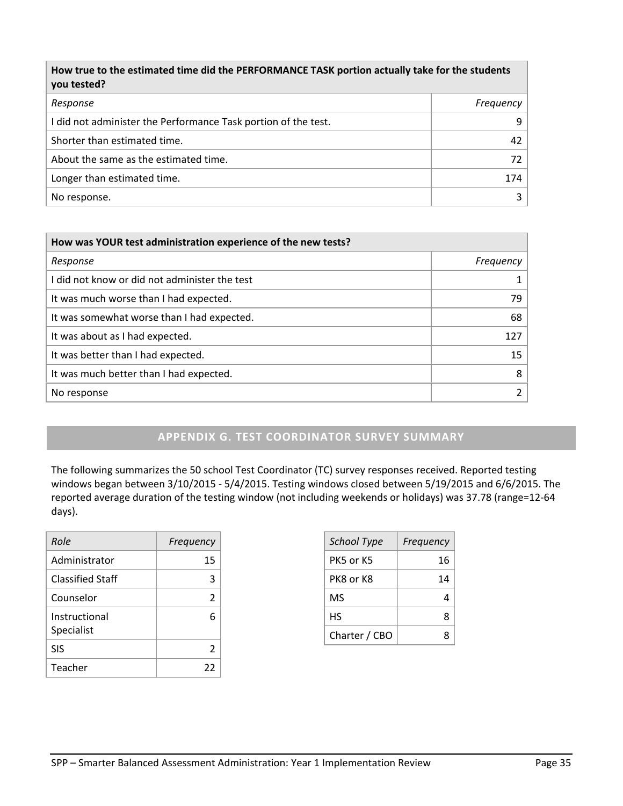| How true to the estimated time did the PERFORMANCE TASK portion actually take for the students<br>you tested? |           |
|---------------------------------------------------------------------------------------------------------------|-----------|
| Response                                                                                                      | Frequency |
| I did not administer the Performance Task portion of the test.                                                | 9         |
| Shorter than estimated time.                                                                                  | 42        |
| About the same as the estimated time.                                                                         | 72        |
| Longer than estimated time.                                                                                   | 174       |
| No response.                                                                                                  | 3         |

| How was YOUR test administration experience of the new tests? |  |
|---------------------------------------------------------------|--|
| Frequency                                                     |  |
|                                                               |  |
| 79                                                            |  |
| 68                                                            |  |
| 127                                                           |  |
| 15                                                            |  |
| 8                                                             |  |
| $\mathcal{P}$                                                 |  |
|                                                               |  |

# **APPENDIX G. TEST COORDINATOR SURVEY SUMMARY**

The following summarizes the 50 school Test Coordinator (TC) survey responses received. Reported testing windows began between 3/10/2015 ‐ 5/4/2015. Testing windows closed between 5/19/2015 and 6/6/2015. The reported average duration of the testing window (not including weekends or holidays) was 37.78 (range=12‐64 days).

| Role                        | Frequency |
|-----------------------------|-----------|
| Administrator               | 15        |
| <b>Classified Staff</b>     | З         |
| Counselor                   | 2         |
| Instructional<br>Specialist |           |
| <b>SIS</b>                  | 2         |
| Teacher                     | 22        |

| <b>School Type</b> | Frequency |
|--------------------|-----------|
| PK5 or K5          | 16        |
| PK8 or K8          | 14        |
| ΜS                 | Δ         |
| НS                 | ጸ         |
| Charter / CBO      |           |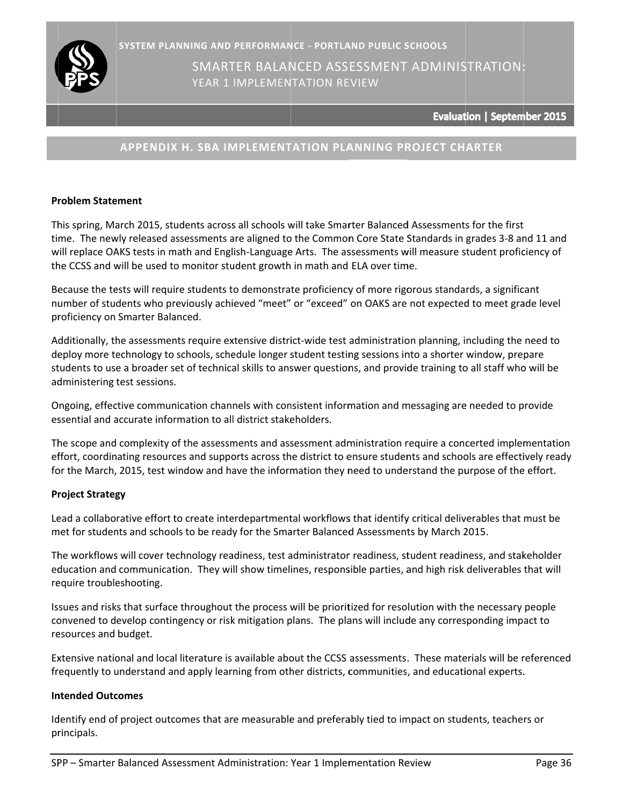

# **APPENDIX X H. SBA IM MPLEMENT TATION PLA ANNING PR ROJECT CH ARTER**

## **Pr roblem State ement**

This spring, March 2015, students across all schools will take Smarter Balanced Assessments for the first time. The newly released assessments are aligned to the Common Core State Standards in grades 3-8 an will replace OAKS tests in math and English-Language Arts. The assessments will measure student proficiency of the CCSS and will be used to monitor student growth in math and ELA over time. :<br>n**ber 2015**<br>t<br>nd 11 and

Because the tests will require students to demonstrate proficiency of more rigorous standards, a significant number of students who previously achieved "meet" or "exceed" on OAKS are not expected to meet grade level pr roficiency on Smarter Bala anced.

Additionally, the assessments require extensive district-wide test administration planning, including the need to deploy more technology to schools, schedule longer student testing sessions into a shorter window, prepare students to use a broader set of technical skills to answer questions, and provide training to all staff who will be administering test sessions.

Ongoing, effective communication channels with consistent information and messaging are needed to provide essential and accurate information to all district stakeholders.

The scope and complexity of the assessments and assessment administration require a concerted implementation effort, coordinating resources and supports across the district to ensure students and schools are effectively ready for the March, 2015, test window and have the information they need to understand the purpose of the effort.

# **Pr roject Strateg gy**

Lead a collaborative effort to create interdepartmental workflows that identify critical deliverables that must be met for students and schools to be ready for the Smarter Balanced Assessments by March 2015.

The workflows will cover technology readiness, test administrator readiness, student readiness, and stakeholder education and communication. They will show timelines, responsible parties, and high risk deliverables that will require troubleshooting.

Issues and risks that surface throughout the process will be prioritized for resolution with the necessary people convened to develop contingency or risk mitigation plans. The plans will include any corresponding impact to re esources and budget.

Extensive national and local literature is available about the CCSS assessments. These materials will be referenced frequently to understand and apply learning from other districts, communities, and educational experts.

### **In ntended Outc comes**

frequently to understand and apply learning from other districts, communities, and educational experts.<br>**Intended Outcomes**<br>Identify end of project outcomes that are measurable and preferably tied to impact on students, te pr rincipals.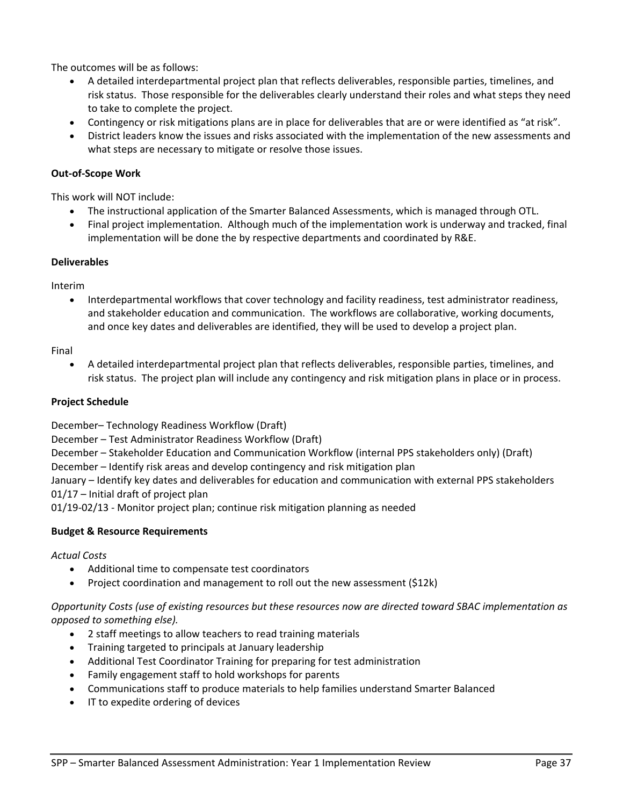The outcomes will be as follows:

- A detailed interdepartmental project plan that reflects deliverables, responsible parties, timelines, and risk status. Those responsible for the deliverables clearly understand their roles and what steps they need to take to complete the project.
- Contingency or risk mitigations plans are in place for deliverables that are or were identified as "at risk".
- District leaders know the issues and risks associated with the implementation of the new assessments and what steps are necessary to mitigate or resolve those issues.

# **Out‐of‐Scope Work**

This work will NOT include:

- The instructional application of the Smarter Balanced Assessments, which is managed through OTL.
- Final project implementation. Although much of the implementation work is underway and tracked, final implementation will be done the by respective departments and coordinated by R&E.

## **Deliverables**

Interim

 Interdepartmental workflows that cover technology and facility readiness, test administrator readiness, and stakeholder education and communication. The workflows are collaborative, working documents, and once key dates and deliverables are identified, they will be used to develop a project plan.

#### Final

 A detailed interdepartmental project plan that reflects deliverables, responsible parties, timelines, and risk status. The project plan will include any contingency and risk mitigation plans in place or in process.

## **Project Schedule**

December– Technology Readiness Workflow (Draft)

December – Test Administrator Readiness Workflow (Draft)

December – Stakeholder Education and Communication Workflow (internal PPS stakeholders only) (Draft)

December – Identify risk areas and develop contingency and risk mitigation plan

January – Identify key dates and deliverables for education and communication with external PPS stakeholders 01/17 – Initial draft of project plan

01/19‐02/13 ‐ Monitor project plan; continue risk mitigation planning as needed

# **Budget & Resource Requirements**

*Actual Costs*

- Additional time to compensate test coordinators
- Project coordination and management to roll out the new assessment (\$12k)

*Opportunity Costs (use of existing resources but these resources now are directed toward SBAC implementation as opposed to something else).*

- 2 staff meetings to allow teachers to read training materials
- Training targeted to principals at January leadership
- Additional Test Coordinator Training for preparing for test administration
- Family engagement staff to hold workshops for parents
- Communications staff to produce materials to help families understand Smarter Balanced
- IT to expedite ordering of devices